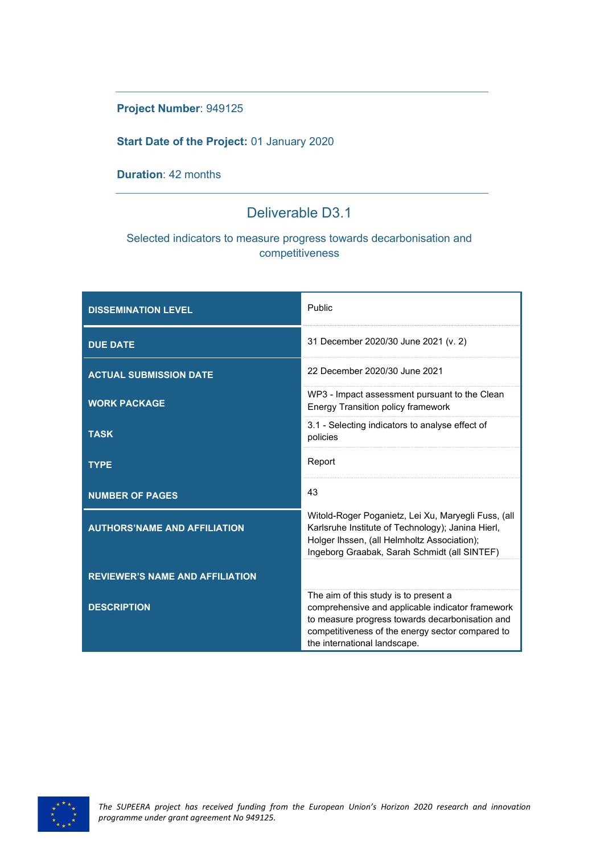#### **Project Number**: 949125

#### **Start Date of the Project:** 01 January 2020

#### **Duration**: 42 months

### Deliverable D3.1

#### Selected indicators to measure progress towards decarbonisation and competitiveness

| <b>DISSEMINATION LEVEL</b>             | Public                                                                                                                                                                                                                           |
|----------------------------------------|----------------------------------------------------------------------------------------------------------------------------------------------------------------------------------------------------------------------------------|
| <b>DUE DATE</b>                        | 31 December 2020/30 June 2021 (v. 2)                                                                                                                                                                                             |
| <b>ACTUAL SUBMISSION DATE</b>          | 22 December 2020/30 June 2021                                                                                                                                                                                                    |
| <b>WORK PACKAGE</b>                    | WP3 - Impact assessment pursuant to the Clean<br><b>Energy Transition policy framework</b>                                                                                                                                       |
| <b>TASK</b>                            | 3.1 - Selecting indicators to analyse effect of<br>policies                                                                                                                                                                      |
| <b>TYPE</b>                            | Report                                                                                                                                                                                                                           |
| <b>NUMBER OF PAGES</b>                 | 43                                                                                                                                                                                                                               |
| <b>AUTHORS'NAME AND AFFILIATION</b>    | Witold-Roger Poganietz, Lei Xu, Maryegli Fuss, (all<br>Karlsruhe Institute of Technology); Janina Hierl,<br>Holger Ihssen, (all Helmholtz Association);<br>Ingeborg Graabak, Sarah Schmidt (all SINTEF)                          |
| <b>REVIEWER'S NAME AND AFFILIATION</b> |                                                                                                                                                                                                                                  |
| <b>DESCRIPTION</b>                     | The aim of this study is to present a<br>comprehensive and applicable indicator framework<br>to measure progress towards decarbonisation and<br>competitiveness of the energy sector compared to<br>the international landscape. |

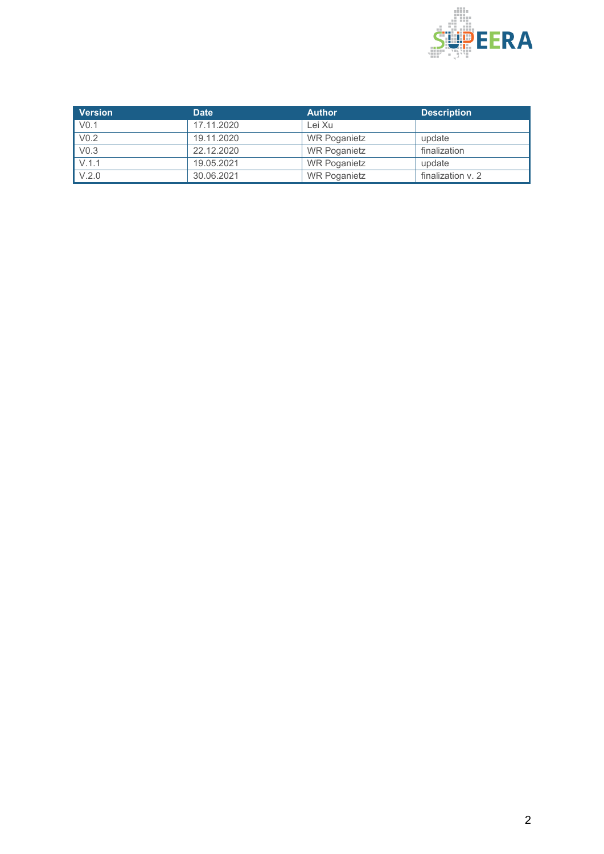

| <b>Version</b>   | Date       | <b>Author</b>       | <b>Description</b> |
|------------------|------------|---------------------|--------------------|
| V <sub>0.1</sub> | 17.11.2020 | Lei Xu              |                    |
| V <sub>0.2</sub> | 19.11.2020 | <b>WR Poganietz</b> | update             |
| V <sub>0.3</sub> | 22.12.2020 | <b>WR Poganietz</b> | finalization       |
| V.1.1            | 19.05.2021 | <b>WR Poganietz</b> | update             |
| V.2.0            | 30.06.2021 | <b>WR Poganietz</b> | finalization v. 2  |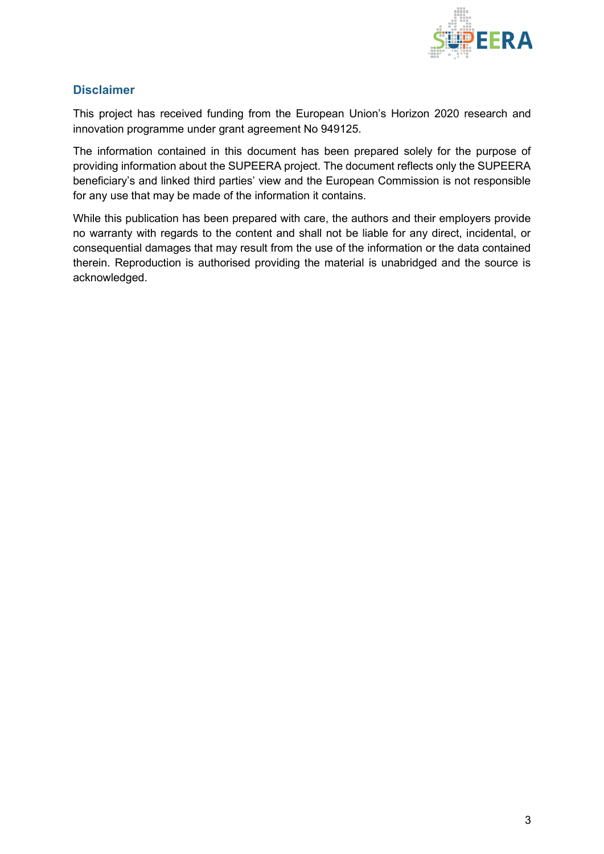

#### <span id="page-2-0"></span>**Disclaimer**

This project has received funding from the European Union's Horizon 2020 research and innovation programme under grant agreement No 949125.

The information contained in this document has been prepared solely for the purpose of providing information about the SUPEERA project. The document reflects only the SUPEERA beneficiary's and linked third parties' view and the European Commission is not responsible for any use that may be made of the information it contains.

While this publication has been prepared with care, the authors and their employers provide no warranty with regards to the content and shall not be liable for any direct, incidental, or consequential damages that may result from the use of the information or the data contained therein. Reproduction is authorised providing the material is unabridged and the source is acknowledged.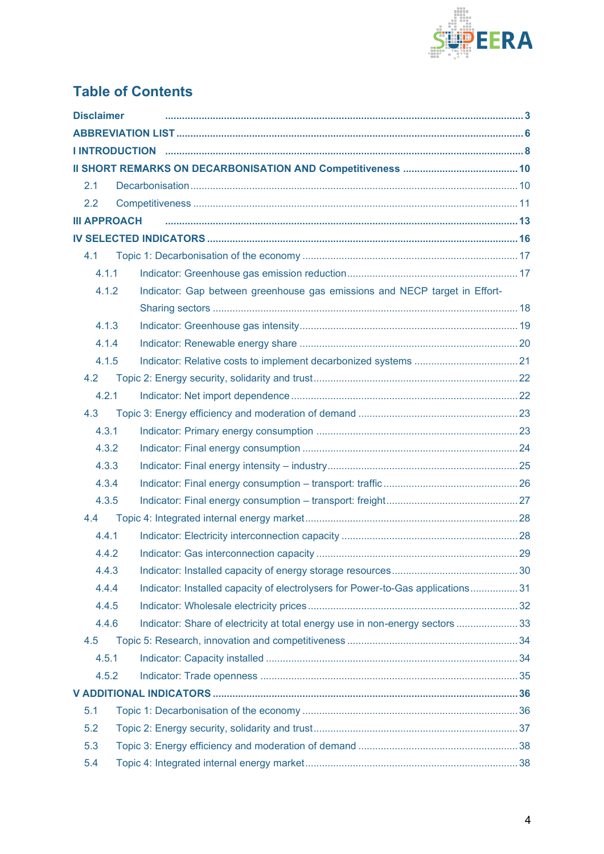

# **Table of Contents**

| <b>Disclaimer</b>   |                                                                                 |  |
|---------------------|---------------------------------------------------------------------------------|--|
|                     |                                                                                 |  |
|                     |                                                                                 |  |
|                     |                                                                                 |  |
| 2.1                 |                                                                                 |  |
| 2.2                 |                                                                                 |  |
| <b>III APPROACH</b> |                                                                                 |  |
|                     |                                                                                 |  |
| 4.1                 |                                                                                 |  |
| 4.1.1               |                                                                                 |  |
| 4.1.2               | Indicator: Gap between greenhouse gas emissions and NECP target in Effort-      |  |
|                     |                                                                                 |  |
| 4.1.3               |                                                                                 |  |
| 4.1.4               |                                                                                 |  |
| 4.1.5               |                                                                                 |  |
| 4.2                 |                                                                                 |  |
| 4.2.1               |                                                                                 |  |
| 4.3                 |                                                                                 |  |
| 4.3.1               |                                                                                 |  |
| 4.3.2               |                                                                                 |  |
| 4.3.3               |                                                                                 |  |
| 4.3.4               |                                                                                 |  |
| 4.3.5               |                                                                                 |  |
| 4.4                 |                                                                                 |  |
| 4.4.1               |                                                                                 |  |
| 4.4.2               |                                                                                 |  |
| 4.4.3               |                                                                                 |  |
| 4.4.4               | Indicator: Installed capacity of electrolysers for Power-to-Gas applications 31 |  |
| 4.4.5               |                                                                                 |  |
| 4.4.6               | Indicator: Share of electricity at total energy use in non-energy sectors  33   |  |
| 4.5                 |                                                                                 |  |
| 4.5.1               |                                                                                 |  |
| 4.5.2               |                                                                                 |  |
|                     |                                                                                 |  |
| 5.1                 |                                                                                 |  |
| 5.2                 |                                                                                 |  |
| 5.3                 |                                                                                 |  |
| 5.4                 |                                                                                 |  |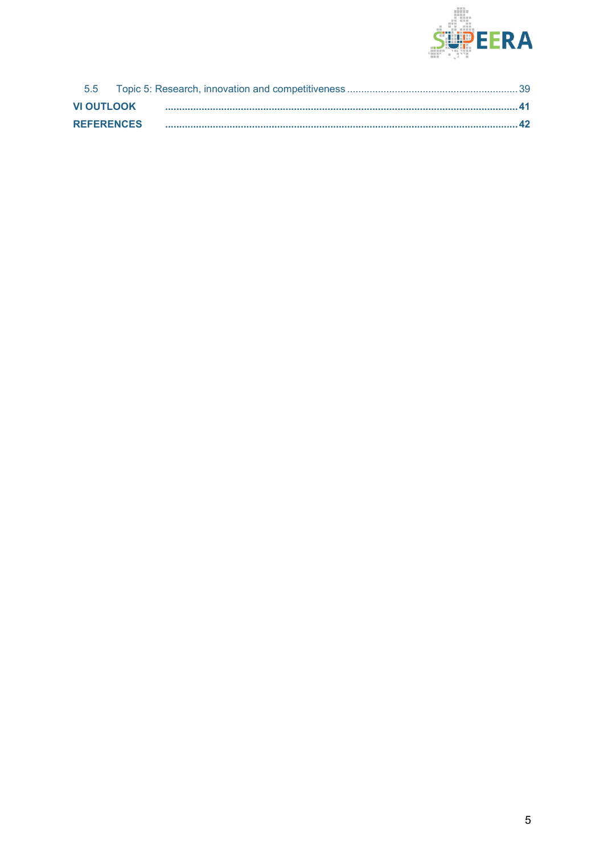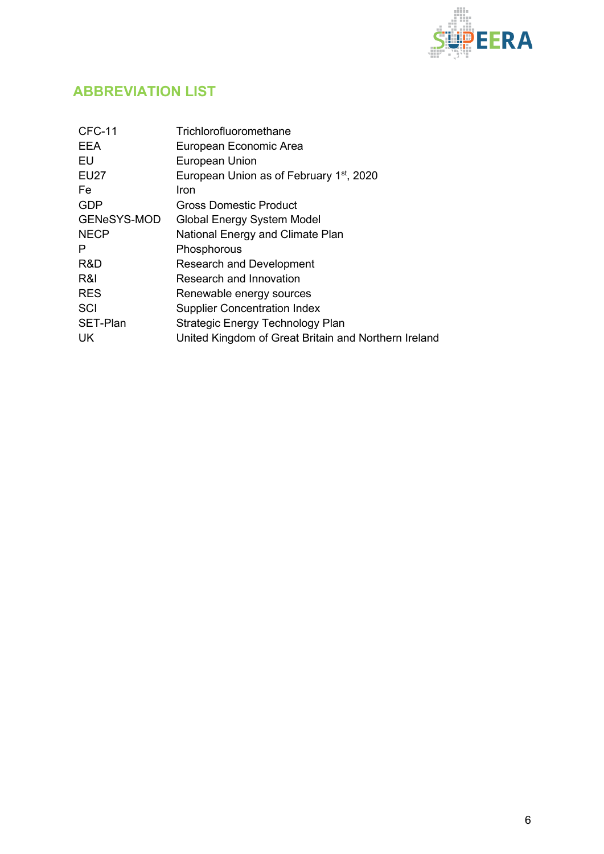

## <span id="page-5-0"></span>**ABBREVIATION LIST**

| <b>CFC-11</b>      | Trichlorofluoromethane                               |
|--------------------|------------------------------------------------------|
| <b>EEA</b>         | European Economic Area                               |
| EU                 | European Union                                       |
| <b>EU27</b>        | European Union as of February 1 <sup>st</sup> , 2020 |
| Fe.                | Iron                                                 |
| <b>GDP</b>         | Gross Domestic Product                               |
| <b>GENeSYS-MOD</b> | Global Energy System Model                           |
| <b>NECP</b>        | National Energy and Climate Plan                     |
| P                  | Phosphorous                                          |
| R&D                | <b>Research and Development</b>                      |
| R&I                | Research and Innovation                              |
| <b>RES</b>         | Renewable energy sources                             |
| SCI                | <b>Supplier Concentration Index</b>                  |
| SET-Plan           | Strategic Energy Technology Plan                     |
| UK.                | United Kingdom of Great Britain and Northern Ireland |
|                    |                                                      |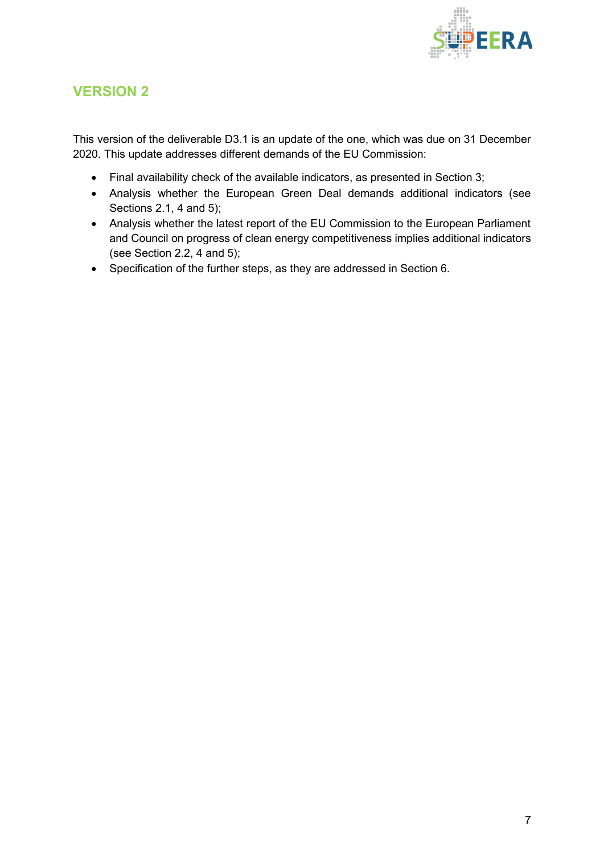

### **VERSION 2**

This version of the deliverable D3.1 is an update of the one, which was due on 31 December 2020. This update addresses different demands of the EU Commission:

- Final availability check of the available indicators, as presented in Section 3;
- Analysis whether the European Green Deal demands additional indicators (see Sections 2.1, 4 and 5);
- Analysis whether the latest report of the EU Commission to the European Parliament and Council on progress of clean energy competitiveness implies additional indicators (see Section 2.2, 4 and 5);
- Specification of the further steps, as they are addressed in Section 6.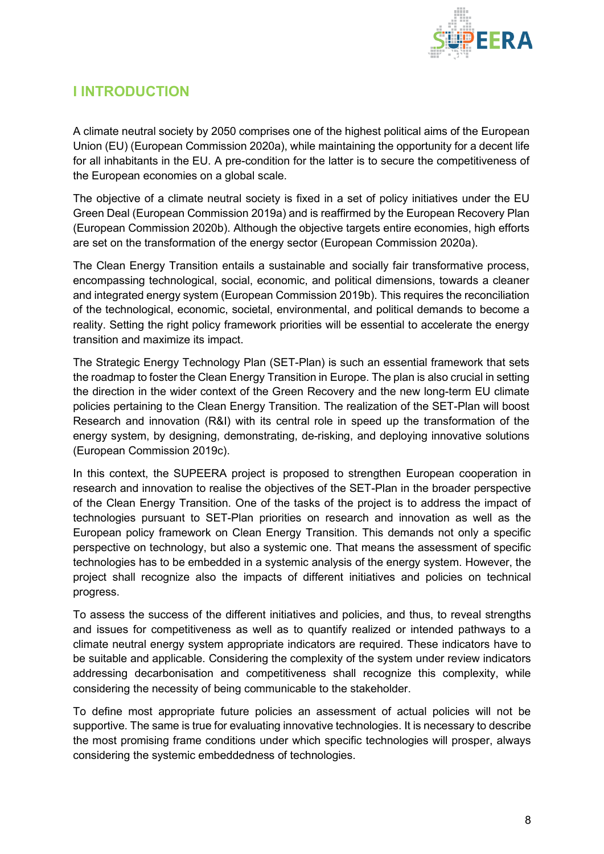

## <span id="page-7-0"></span>**I INTRODUCTION**

A climate neutral society by 2050 comprises one of the highest political aims of the European Union (EU) (European Commission 2020a), while maintaining the opportunity for a decent life for all inhabitants in the EU. A pre-condition for the latter is to secure the competitiveness of the European economies on a global scale.

The objective of a climate neutral society is fixed in a set of policy initiatives under the EU Green Deal (European Commission 2019a) and is reaffirmed by the European Recovery Plan (European Commission 2020b). Although the objective targets entire economies, high efforts are set on the transformation of the energy sector (European Commission 2020a).

The Clean Energy Transition entails a sustainable and socially fair transformative process, encompassing technological, social, economic, and political dimensions, towards a cleaner and integrated energy system (European Commission 2019b). This requires the reconciliation of the technological, economic, societal, environmental, and political demands to become a reality. Setting the right policy framework priorities will be essential to accelerate the energy transition and maximize its impact.

The Strategic Energy Technology Plan (SET-Plan) is such an essential framework that sets the roadmap to foster the Clean Energy Transition in Europe. The plan is also crucial in setting the direction in the wider context of the Green Recovery and the new long-term EU climate policies pertaining to the Clean Energy Transition. The realization of the SET-Plan will boost Research and innovation (R&I) with its central role in speed up the transformation of the energy system, by designing, demonstrating, de-risking, and deploying innovative solutions (European Commission 2019c).

In this context, the SUPEERA project is proposed to strengthen European cooperation in research and innovation to realise the objectives of the SET-Plan in the broader perspective of the Clean Energy Transition. One of the tasks of the project is to address the impact of technologies pursuant to SET-Plan priorities on research and innovation as well as the European policy framework on Clean Energy Transition. This demands not only a specific perspective on technology, but also a systemic one. That means the assessment of specific technologies has to be embedded in a systemic analysis of the energy system. However, the project shall recognize also the impacts of different initiatives and policies on technical progress.

To assess the success of the different initiatives and policies, and thus, to reveal strengths and issues for competitiveness as well as to quantify realized or intended pathways to a climate neutral energy system appropriate indicators are required. These indicators have to be suitable and applicable. Considering the complexity of the system under review indicators addressing decarbonisation and competitiveness shall recognize this complexity, while considering the necessity of being communicable to the stakeholder.

To define most appropriate future policies an assessment of actual policies will not be supportive. The same is true for evaluating innovative technologies. It is necessary to describe the most promising frame conditions under which specific technologies will prosper, always considering the systemic embeddedness of technologies.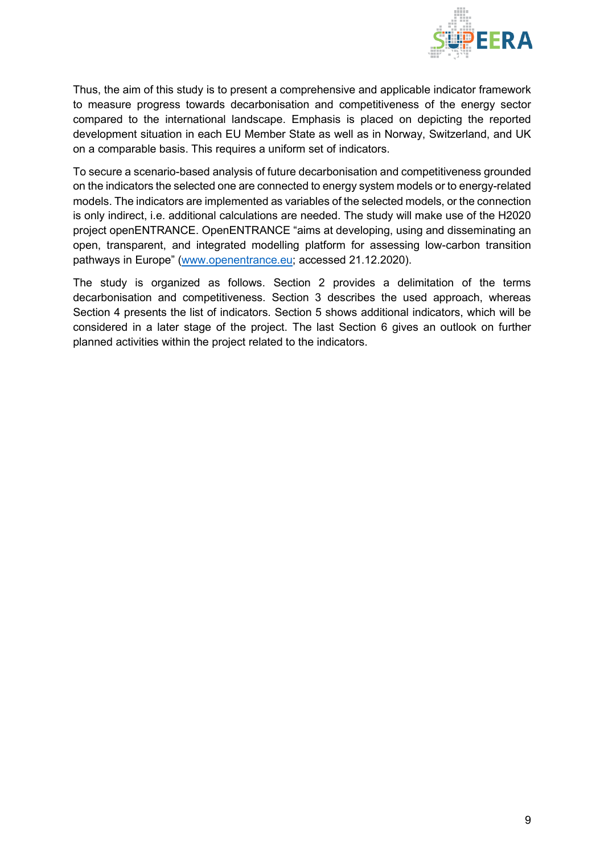

Thus, the aim of this study is to present a comprehensive and applicable indicator framework to measure progress towards decarbonisation and competitiveness of the energy sector compared to the international landscape. Emphasis is placed on depicting the reported development situation in each EU Member State as well as in Norway, Switzerland, and UK on a comparable basis. This requires a uniform set of indicators.

To secure a scenario-based analysis of future decarbonisation and competitiveness grounded on the indicators the selected one are connected to energy system models or to energy-related models. The indicators are implemented as variables of the selected models, or the connection is only indirect, i.e. additional calculations are needed. The study will make use of the H2020 project openENTRANCE. OpenENTRANCE "aims at developing, using and disseminating an open, transparent, and integrated modelling platform for assessing low-carbon transition pathways in Europe" [\(www.openentrance.eu;](http://www.openentrance.eu/) accessed 21.12.2020).

The study is organized as follows. Section 2 provides a delimitation of the terms decarbonisation and competitiveness. Section 3 describes the used approach, whereas Section 4 presents the list of indicators. Section 5 shows additional indicators, which will be considered in a later stage of the project. The last Section 6 gives an outlook on further planned activities within the project related to the indicators.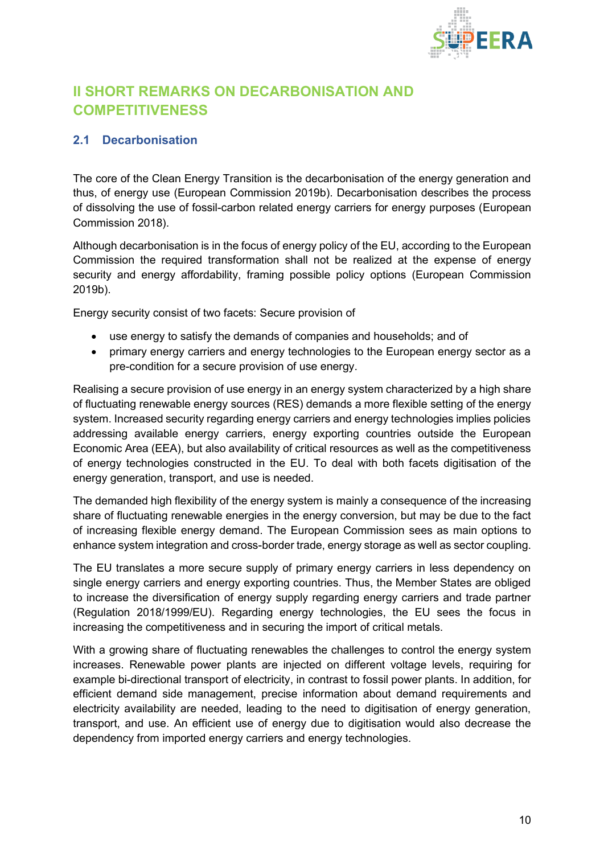

## <span id="page-9-0"></span>**II SHORT REMARKS ON DECARBONISATION AND COMPETITIVENESS**

#### <span id="page-9-1"></span>**2.1 Decarbonisation**

The core of the Clean Energy Transition is the decarbonisation of the energy generation and thus, of energy use (European Commission 2019b). Decarbonisation describes the process of dissolving the use of fossil-carbon related energy carriers for energy purposes (European Commission 2018).

Although decarbonisation is in the focus of energy policy of the EU, according to the European Commission the required transformation shall not be realized at the expense of energy security and energy affordability, framing possible policy options (European Commission 2019b).

Energy security consist of two facets: Secure provision of

- use energy to satisfy the demands of companies and households; and of
- primary energy carriers and energy technologies to the European energy sector as a pre-condition for a secure provision of use energy.

Realising a secure provision of use energy in an energy system characterized by a high share of fluctuating renewable energy sources (RES) demands a more flexible setting of the energy system. Increased security regarding energy carriers and energy technologies implies policies addressing available energy carriers, energy exporting countries outside the European Economic Area (EEA), but also availability of critical resources as well as the competitiveness of energy technologies constructed in the EU. To deal with both facets digitisation of the energy generation, transport, and use is needed.

The demanded high flexibility of the energy system is mainly a consequence of the increasing share of fluctuating renewable energies in the energy conversion, but may be due to the fact of increasing flexible energy demand. The European Commission sees as main options to enhance system integration and cross-border trade, energy storage as well as sector coupling.

The EU translates a more secure supply of primary energy carriers in less dependency on single energy carriers and energy exporting countries. Thus, the Member States are obliged to increase the diversification of energy supply regarding energy carriers and trade partner (Regulation 2018/1999/EU). Regarding energy technologies, the EU sees the focus in increasing the competitiveness and in securing the import of critical metals.

With a growing share of fluctuating renewables the challenges to control the energy system increases. Renewable power plants are injected on different voltage levels, requiring for example bi-directional transport of electricity, in contrast to fossil power plants. In addition, for efficient demand side management, precise information about demand requirements and electricity availability are needed, leading to the need to digitisation of energy generation, transport, and use. An efficient use of energy due to digitisation would also decrease the dependency from imported energy carriers and energy technologies.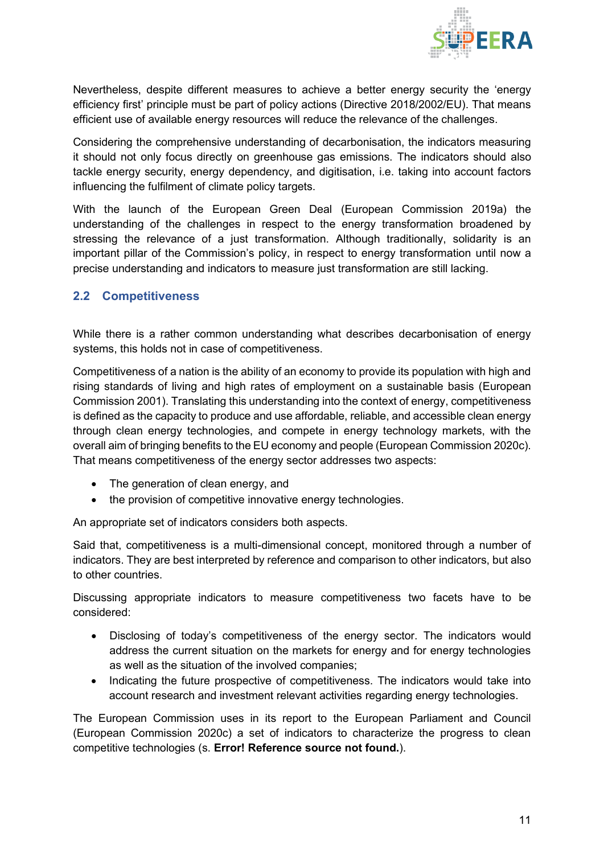

Nevertheless, despite different measures to achieve a better energy security the 'energy efficiency first' principle must be part of policy actions (Directive 2018/2002/EU). That means efficient use of available energy resources will reduce the relevance of the challenges.

Considering the comprehensive understanding of decarbonisation, the indicators measuring it should not only focus directly on greenhouse gas emissions. The indicators should also tackle energy security, energy dependency, and digitisation, i.e. taking into account factors influencing the fulfilment of climate policy targets.

With the launch of the European Green Deal (European Commission 2019a) the understanding of the challenges in respect to the energy transformation broadened by stressing the relevance of a just transformation. Although traditionally, solidarity is an important pillar of the Commission's policy, in respect to energy transformation until now a precise understanding and indicators to measure just transformation are still lacking.

#### <span id="page-10-0"></span>**2.2 Competitiveness**

While there is a rather common understanding what describes decarbonisation of energy systems, this holds not in case of competitiveness.

Competitiveness of a nation is the ability of an economy to provide its population with high and rising standards of living and high rates of employment on a sustainable basis (European Commission 2001). Translating this understanding into the context of energy, competitiveness is defined as the capacity to produce and use affordable, reliable, and accessible clean energy through clean energy technologies, and compete in energy technology markets, with the overall aim of bringing benefits to the EU economy and people (European Commission 2020c). That means competitiveness of the energy sector addresses two aspects:

- The generation of clean energy, and
- the provision of competitive innovative energy technologies.

An appropriate set of indicators considers both aspects.

Said that, competitiveness is a multi-dimensional concept, monitored through a number of indicators. They are best interpreted by reference and comparison to other indicators, but also to other countries.

Discussing appropriate indicators to measure competitiveness two facets have to be considered:

- Disclosing of today's competitiveness of the energy sector. The indicators would address the current situation on the markets for energy and for energy technologies as well as the situation of the involved companies;
- Indicating the future prospective of competitiveness. The indicators would take into account research and investment relevant activities regarding energy technologies.

The European Commission uses in its report to the European Parliament and Council (European Commission 2020c) a set of indicators to characterize the progress to clean competitive technologies (s. **Error! Reference source not found.**).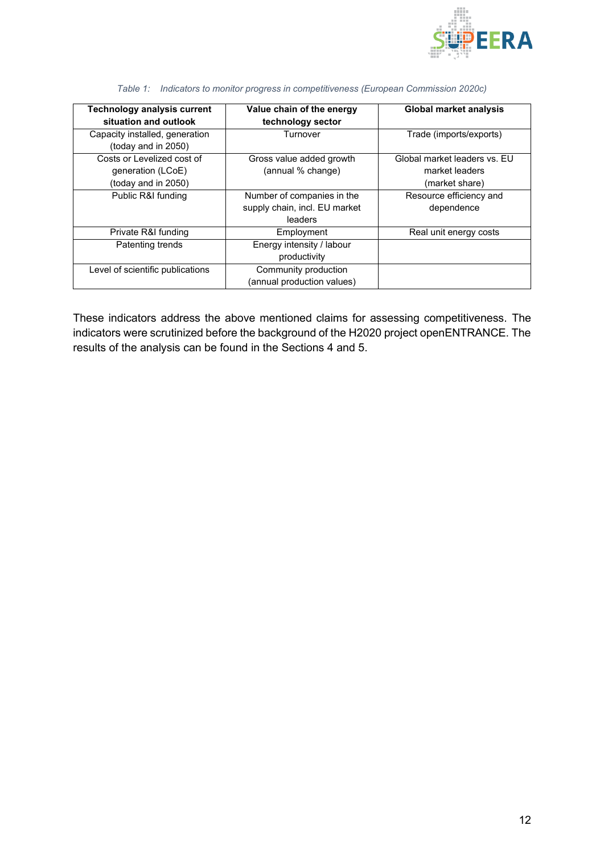

| <b>Technology analysis current</b><br>situation and outlook | Value chain of the energy<br>technology sector | <b>Global market analysis</b> |
|-------------------------------------------------------------|------------------------------------------------|-------------------------------|
| Capacity installed, generation<br>(today and in 2050)       | Turnover                                       | Trade (imports/exports)       |
| Costs or Levelized cost of                                  | Gross value added growth                       | Global market leaders vs. EU  |
| generation (LCoE)                                           | (annual % change)                              | market leaders                |
| (today and in 2050)                                         |                                                | (market share)                |
| Public R&I funding                                          | Number of companies in the                     | Resource efficiency and       |
|                                                             | supply chain, incl. EU market                  | dependence                    |
|                                                             | leaders                                        |                               |
| Private R&I funding                                         | Employment                                     | Real unit energy costs        |
| Patenting trends                                            | Energy intensity / labour                      |                               |
|                                                             | productivity                                   |                               |
| Level of scientific publications                            | Community production                           |                               |
|                                                             | (annual production values)                     |                               |

|  |  |  |  | Table 1: Indicators to monitor progress in competitiveness (European Commission 2020c) |  |  |
|--|--|--|--|----------------------------------------------------------------------------------------|--|--|
|--|--|--|--|----------------------------------------------------------------------------------------|--|--|

These indicators address the above mentioned claims for assessing competitiveness. The indicators were scrutinized before the background of the H2020 project openENTRANCE. The results of the analysis can be found in the Sections 4 and 5.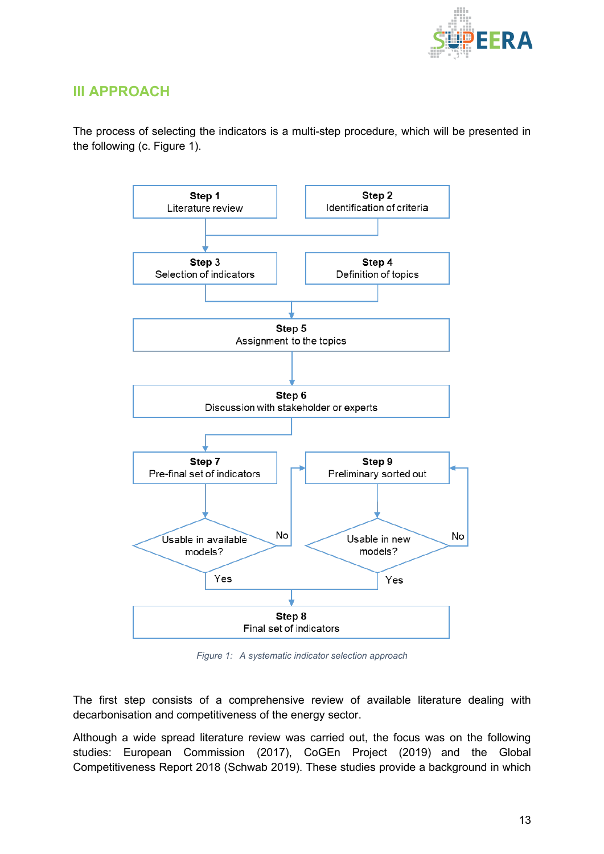

### <span id="page-12-0"></span>**III APPROACH**

The process of selecting the indicators is a multi-step procedure, which will be presented in the following (c. Figure 1).



*Figure 1: A systematic indicator selection approach*

The first step consists of a comprehensive review of available literature dealing with decarbonisation and competitiveness of the energy sector.

Although a wide spread literature review was carried out, the focus was on the following studies: European Commission (2017), CoGEn Project (2019) and the Global Competitiveness Report 2018 (Schwab 2019). These studies provide a background in which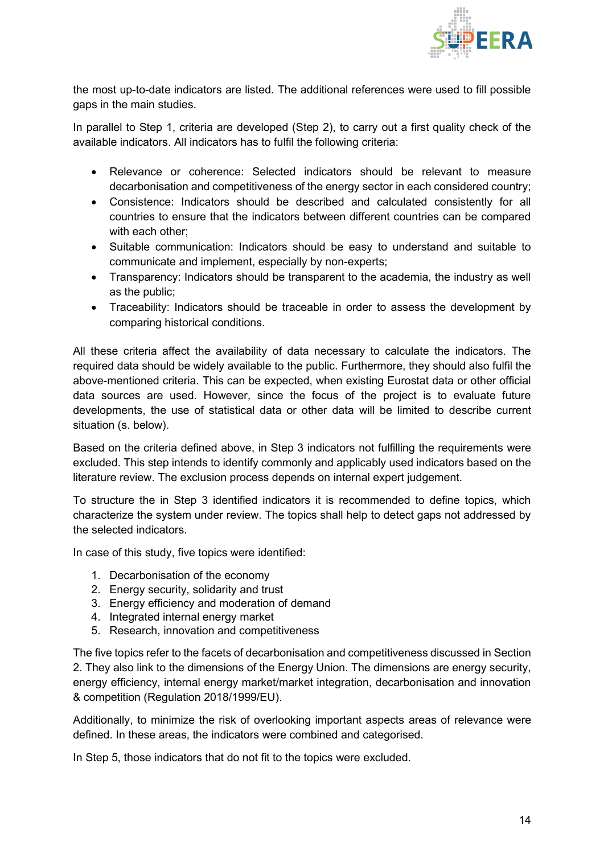

the most up-to-date indicators are listed. The additional references were used to fill possible gaps in the main studies.

In parallel to Step 1, criteria are developed (Step 2), to carry out a first quality check of the available indicators. All indicators has to fulfil the following criteria:

- Relevance or coherence: Selected indicators should be relevant to measure decarbonisation and competitiveness of the energy sector in each considered country;
- Consistence: Indicators should be described and calculated consistently for all countries to ensure that the indicators between different countries can be compared with each other;
- Suitable communication: Indicators should be easy to understand and suitable to communicate and implement, especially by non-experts;
- Transparency: Indicators should be transparent to the academia, the industry as well as the public;
- Traceability: Indicators should be traceable in order to assess the development by comparing historical conditions.

All these criteria affect the availability of data necessary to calculate the indicators. The required data should be widely available to the public. Furthermore, they should also fulfil the above-mentioned criteria. This can be expected, when existing Eurostat data or other official data sources are used. However, since the focus of the project is to evaluate future developments, the use of statistical data or other data will be limited to describe current situation (s. below).

Based on the criteria defined above, in Step 3 indicators not fulfilling the requirements were excluded. This step intends to identify commonly and applicably used indicators based on the literature review. The exclusion process depends on internal expert judgement.

To structure the in Step 3 identified indicators it is recommended to define topics, which characterize the system under review. The topics shall help to detect gaps not addressed by the selected indicators.

In case of this study, five topics were identified:

- 1. Decarbonisation of the economy
- 2. Energy security, solidarity and trust
- 3. Energy efficiency and moderation of demand
- 4. Integrated internal energy market
- 5. Research, innovation and competitiveness

The five topics refer to the facets of decarbonisation and competitiveness discussed in Section 2. They also link to the dimensions of the Energy Union. The dimensions are energy security, energy efficiency, internal energy market/market integration, decarbonisation and innovation & competition (Regulation 2018/1999/EU).

Additionally, to minimize the risk of overlooking important aspects areas of relevance were defined. In these areas, the indicators were combined and categorised.

In Step 5, those indicators that do not fit to the topics were excluded.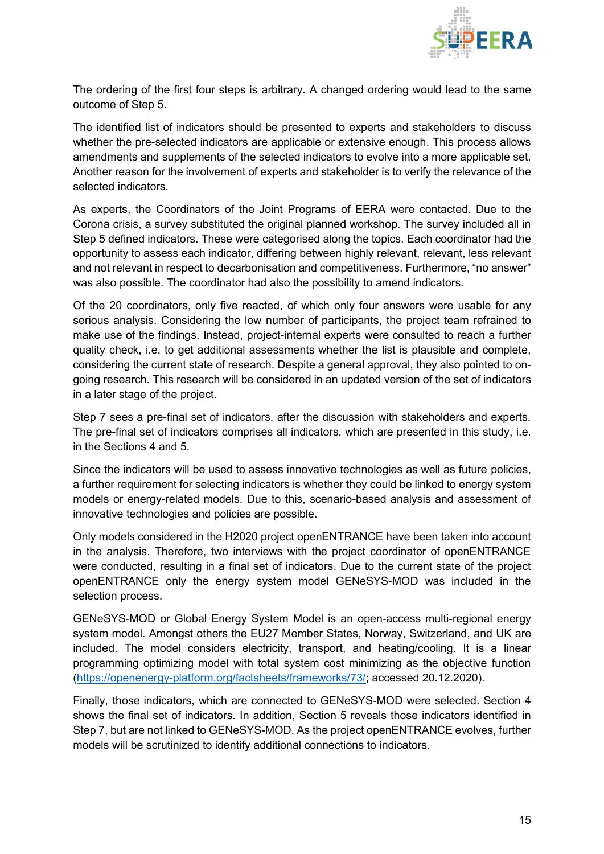

The ordering of the first four steps is arbitrary. A changed ordering would lead to the same outcome of Step 5.

The identified list of indicators should be presented to experts and stakeholders to discuss whether the pre-selected indicators are applicable or extensive enough. This process allows amendments and supplements of the selected indicators to evolve into a more applicable set. Another reason for the involvement of experts and stakeholder is to verify the relevance of the selected indicators.

As experts, the Coordinators of the Joint Programs of EERA were contacted. Due to the Corona crisis, a survey substituted the original planned workshop. The survey included all in Step 5 defined indicators. These were categorised along the topics. Each coordinator had the opportunity to assess each indicator, differing between highly relevant, relevant, less relevant and not relevant in respect to decarbonisation and competitiveness. Furthermore, "no answer" was also possible. The coordinator had also the possibility to amend indicators.

Of the 20 coordinators, only five reacted, of which only four answers were usable for any serious analysis. Considering the low number of participants, the project team refrained to make use of the findings. Instead, project-internal experts were consulted to reach a further quality check, i.e. to get additional assessments whether the list is plausible and complete, considering the current state of research. Despite a general approval, they also pointed to ongoing research. This research will be considered in an updated version of the set of indicators in a later stage of the project.

Step 7 sees a pre-final set of indicators, after the discussion with stakeholders and experts. The pre-final set of indicators comprises all indicators, which are presented in this study, i.e. in the Sections 4 and 5.

Since the indicators will be used to assess innovative technologies as well as future policies, a further requirement for selecting indicators is whether they could be linked to energy system models or energy-related models. Due to this, scenario-based analysis and assessment of innovative technologies and policies are possible.

Only models considered in the H2020 project openENTRANCE have been taken into account in the analysis. Therefore, two interviews with the project coordinator of openENTRANCE were conducted, resulting in a final set of indicators. Due to the current state of the project openENTRANCE only the energy system model GENeSYS-MOD was included in the selection process.

GENeSYS-MOD or Global Energy System Model is an open-access multi-regional energy system model. Amongst others the EU27 Member States, Norway, Switzerland, and UK are included. The model considers electricity, transport, and heating/cooling. It is a linear programming optimizing model with total system cost minimizing as the objective function [\(https://openenergy-platform.org/factsheets/frameworks/73/;](https://openenergy-platform.org/factsheets/frameworks/73/) accessed 20.12.2020).

Finally, those indicators, which are connected to GENeSYS-MOD were selected. Section 4 shows the final set of indicators. In addition, Section 5 reveals those indicators identified in Step 7, but are not linked to GENeSYS-MOD. As the project openENTRANCE evolves, further models will be scrutinized to identify additional connections to indicators.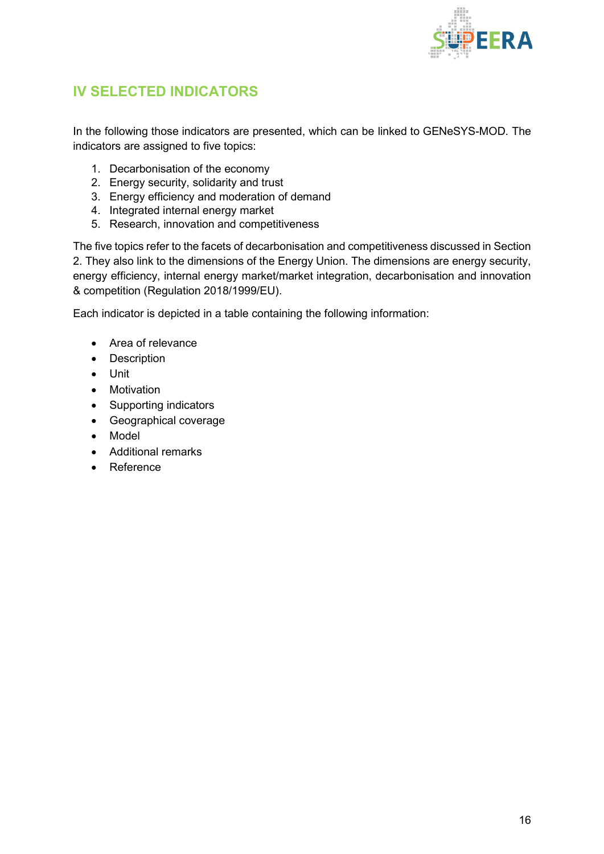

## <span id="page-15-0"></span>**IV SELECTED INDICATORS**

In the following those indicators are presented, which can be linked to GENeSYS-MOD. The indicators are assigned to five topics:

- 1. Decarbonisation of the economy
- 2. Energy security, solidarity and trust
- 3. Energy efficiency and moderation of demand
- 4. Integrated internal energy market
- 5. Research, innovation and competitiveness

The five topics refer to the facets of decarbonisation and competitiveness discussed in Section 2. They also link to the dimensions of the Energy Union. The dimensions are energy security, energy efficiency, internal energy market/market integration, decarbonisation and innovation & competition (Regulation 2018/1999/EU).

Each indicator is depicted in a table containing the following information:

- Area of relevance
- Description
- Unit
- Motivation
- Supporting indicators
- Geographical coverage
- Model
- Additional remarks
- Reference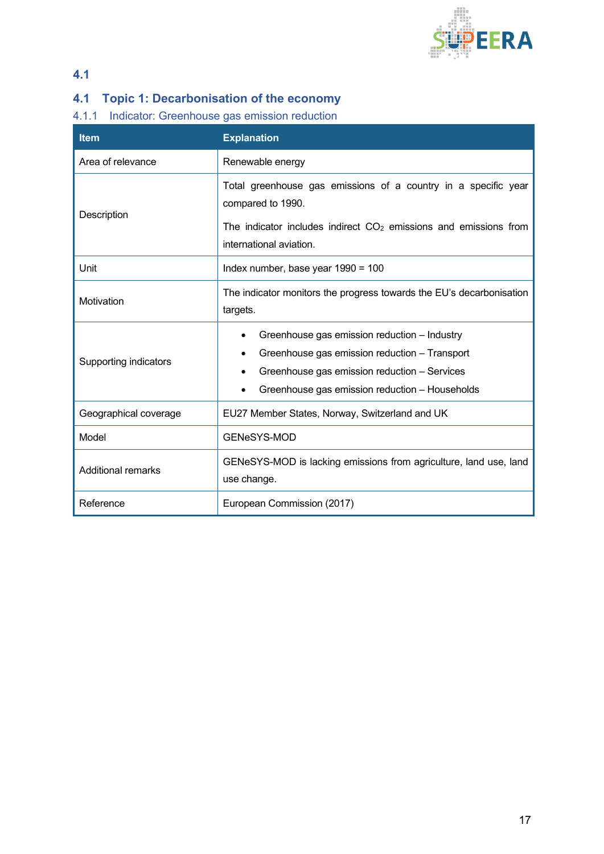

### **4.1**

## <span id="page-16-0"></span>**4.1 Topic 1: Decarbonisation of the economy**

#### <span id="page-16-1"></span>4.1.1 Indicator: Greenhouse gas emission reduction

| <b>Item</b>               | <b>Explanation</b>                                                                                                                                                                                           |  |
|---------------------------|--------------------------------------------------------------------------------------------------------------------------------------------------------------------------------------------------------------|--|
| Area of relevance         | Renewable energy                                                                                                                                                                                             |  |
| Description               | Total greenhouse gas emissions of a country in a specific year<br>compared to 1990.<br>The indicator includes indirect $CO2$ emissions and emissions from<br>international aviation.                         |  |
| Unit                      | Index number, base year 1990 = 100                                                                                                                                                                           |  |
| Motivation                | The indicator monitors the progress towards the EU's decarbonisation<br>targets.                                                                                                                             |  |
| Supporting indicators     | Greenhouse gas emission reduction - Industry<br>$\bullet$<br>Greenhouse gas emission reduction - Transport<br>Greenhouse gas emission reduction - Services<br>Greenhouse gas emission reduction - Households |  |
| Geographical coverage     | EU27 Member States, Norway, Switzerland and UK                                                                                                                                                               |  |
| Model                     | <b>GENeSYS-MOD</b>                                                                                                                                                                                           |  |
| <b>Additional remarks</b> | GENeSYS-MOD is lacking emissions from agriculture, land use, land<br>use change.                                                                                                                             |  |
| Reference                 | European Commission (2017)                                                                                                                                                                                   |  |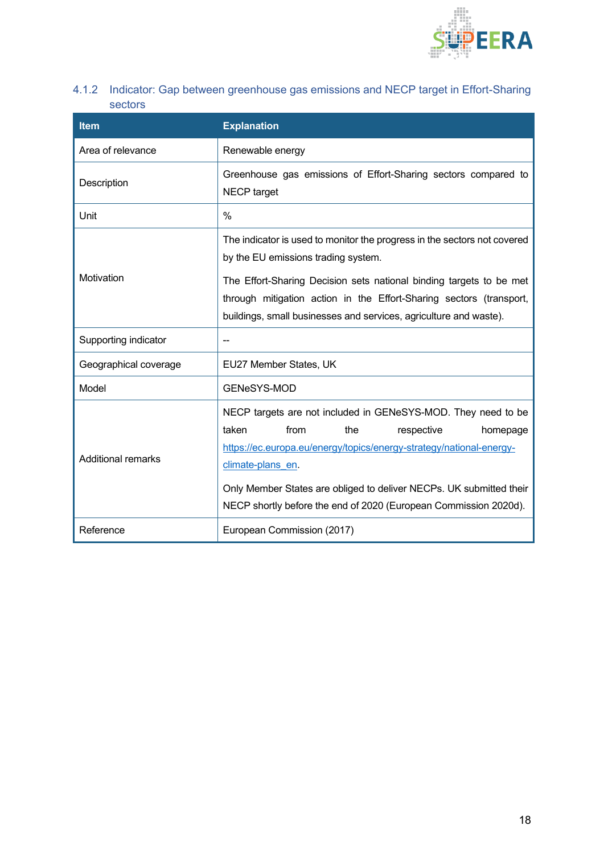

<span id="page-17-0"></span>4.1.2 Indicator: Gap between greenhouse gas emissions and NECP target in Effort-Sharing sectors

| <b>Item</b>           | <b>Explanation</b>                                                                                                                                                                                                                                                                                                                                    |
|-----------------------|-------------------------------------------------------------------------------------------------------------------------------------------------------------------------------------------------------------------------------------------------------------------------------------------------------------------------------------------------------|
| Area of relevance     | Renewable energy                                                                                                                                                                                                                                                                                                                                      |
| Description           | Greenhouse gas emissions of Effort-Sharing sectors compared to<br>NECP target                                                                                                                                                                                                                                                                         |
| Unit                  | $\frac{0}{0}$                                                                                                                                                                                                                                                                                                                                         |
| Motivation            | The indicator is used to monitor the progress in the sectors not covered<br>by the EU emissions trading system.<br>The Effort-Sharing Decision sets national binding targets to be met<br>through mitigation action in the Effort-Sharing sectors (transport,                                                                                         |
|                       | buildings, small businesses and services, agriculture and waste).                                                                                                                                                                                                                                                                                     |
| Supporting indicator  |                                                                                                                                                                                                                                                                                                                                                       |
| Geographical coverage | EU27 Member States, UK                                                                                                                                                                                                                                                                                                                                |
| Model                 | <b>GENeSYS-MOD</b>                                                                                                                                                                                                                                                                                                                                    |
| Additional remarks    | NECP targets are not included in GENeSYS-MOD. They need to be<br>taken<br>from<br>respective<br>the<br>homepage<br>https://ec.europa.eu/energy/topics/energy-strategy/national-energy-<br>climate-plans en<br>Only Member States are obliged to deliver NECPs. UK submitted their<br>NECP shortly before the end of 2020 (European Commission 2020d). |
| Reference             | European Commission (2017)                                                                                                                                                                                                                                                                                                                            |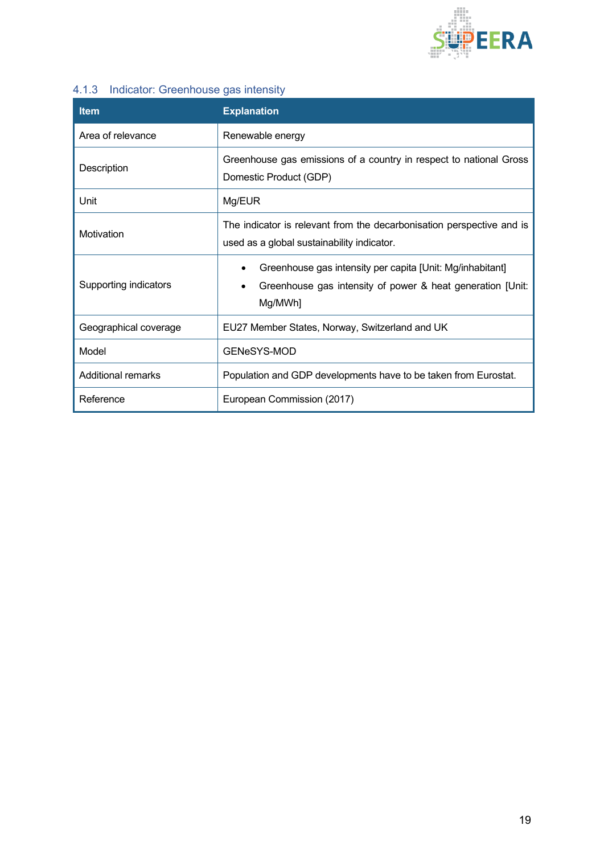

### <span id="page-18-0"></span>4.1.3 Indicator: Greenhouse gas intensity

| <b>Item</b>               | <b>Explanation</b>                                                                                                                 |  |
|---------------------------|------------------------------------------------------------------------------------------------------------------------------------|--|
| Area of relevance         | Renewable energy                                                                                                                   |  |
| Description               | Greenhouse gas emissions of a country in respect to national Gross<br>Domestic Product (GDP)                                       |  |
| Unit                      | Mg/EUR                                                                                                                             |  |
| Motivation                | The indicator is relevant from the decarbonisation perspective and is<br>used as a global sustainability indicator.                |  |
| Supporting indicators     | Greenhouse gas intensity per capita [Unit: Mg/inhabitant]<br>Greenhouse gas intensity of power & heat generation [Unit:<br>Mg/MWh] |  |
| Geographical coverage     | EU27 Member States, Norway, Switzerland and UK                                                                                     |  |
| Model                     | GENeSYS-MOD                                                                                                                        |  |
| <b>Additional remarks</b> | Population and GDP developments have to be taken from Eurostat.                                                                    |  |
| Reference                 | European Commission (2017)                                                                                                         |  |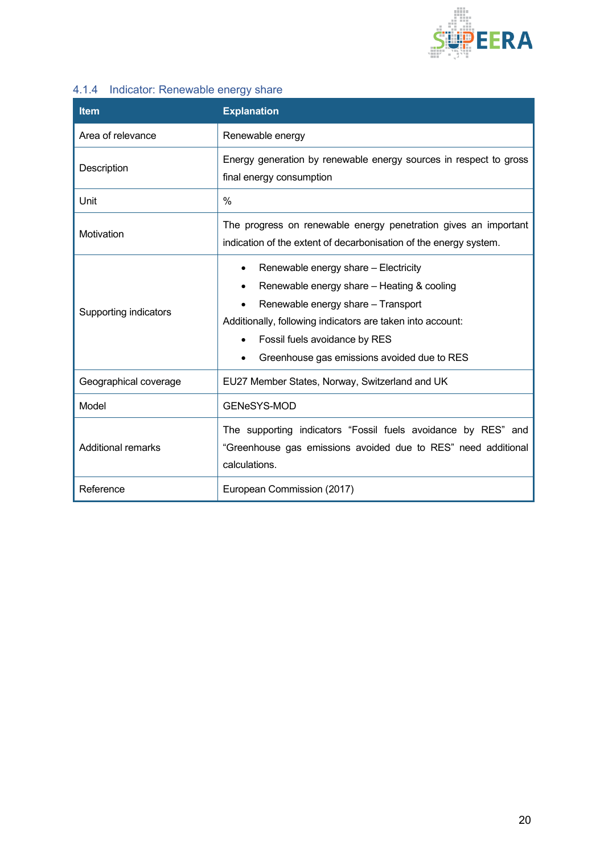

## <span id="page-19-0"></span>4.1.4 Indicator: Renewable energy share

| <b>Item</b>               | <b>Explanation</b>                                                                                                                                                                                                                                                                                            |
|---------------------------|---------------------------------------------------------------------------------------------------------------------------------------------------------------------------------------------------------------------------------------------------------------------------------------------------------------|
| Area of relevance         | Renewable energy                                                                                                                                                                                                                                                                                              |
| Description               | Energy generation by renewable energy sources in respect to gross<br>final energy consumption                                                                                                                                                                                                                 |
| Unit                      | $\frac{0}{0}$                                                                                                                                                                                                                                                                                                 |
| Motivation                | The progress on renewable energy penetration gives an important<br>indication of the extent of decarbonisation of the energy system.                                                                                                                                                                          |
| Supporting indicators     | Renewable energy share - Electricity<br>$\bullet$<br>Renewable energy share - Heating & cooling<br>$\bullet$<br>Renewable energy share - Transport<br>Additionally, following indicators are taken into account:<br>Fossil fuels avoidance by RES<br>$\bullet$<br>Greenhouse gas emissions avoided due to RES |
| Geographical coverage     | EU27 Member States, Norway, Switzerland and UK                                                                                                                                                                                                                                                                |
| Model                     | <b>GENeSYS-MOD</b>                                                                                                                                                                                                                                                                                            |
| <b>Additional remarks</b> | The supporting indicators "Fossil fuels avoidance by RES" and<br>"Greenhouse gas emissions avoided due to RES" need additional<br>calculations.                                                                                                                                                               |
| Reference                 | European Commission (2017)                                                                                                                                                                                                                                                                                    |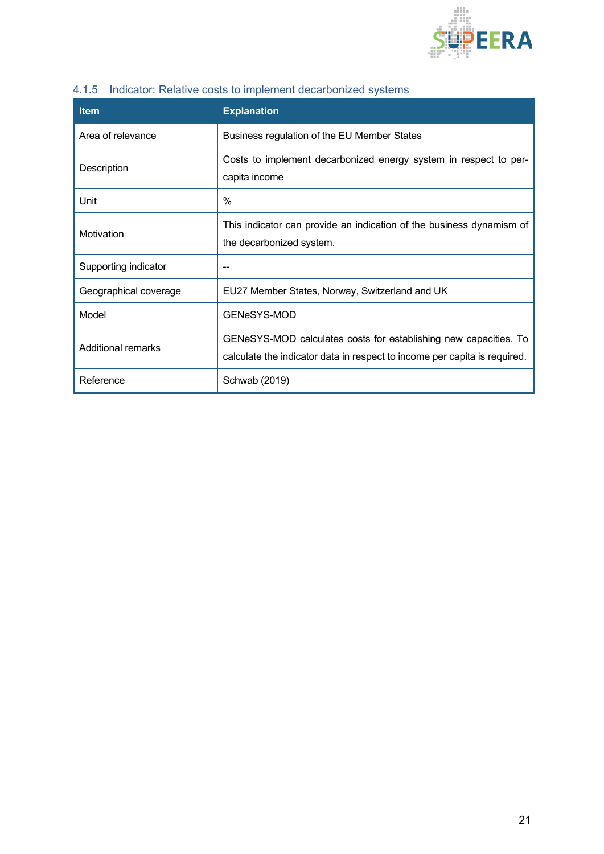

| <b>Item</b>           | <b>Explanation</b>                                                                                                                            |
|-----------------------|-----------------------------------------------------------------------------------------------------------------------------------------------|
| Area of relevance     | Business regulation of the EU Member States                                                                                                   |
| Description           | Costs to implement decarbonized energy system in respect to per-<br>capita income                                                             |
| Unit                  | %                                                                                                                                             |
| Motivation            | This indicator can provide an indication of the business dynamism of<br>the decarbonized system.                                              |
| Supporting indicator  |                                                                                                                                               |
| Geographical coverage | EU27 Member States, Norway, Switzerland and UK                                                                                                |
| Model                 | <b>GENeSYS-MOD</b>                                                                                                                            |
| Additional remarks    | GENeSYS-MOD calculates costs for establishing new capacities. To<br>calculate the indicator data in respect to income per capita is required. |
| Reference             | Schwab (2019)                                                                                                                                 |

## <span id="page-20-0"></span>4.1.5 Indicator: Relative costs to implement decarbonized systems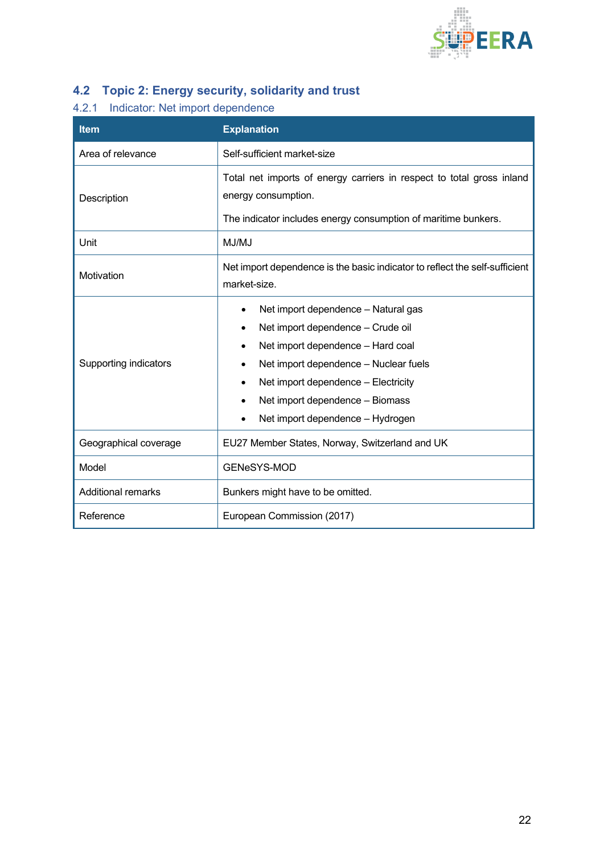

# <span id="page-21-0"></span>**4.2 Topic 2: Energy security, solidarity and trust**

### <span id="page-21-1"></span>4.2.1 Indicator: Net import dependence

| <b>Item</b>               | <b>Explanation</b>                                                                                                                                                                                                                                                                |  |  |
|---------------------------|-----------------------------------------------------------------------------------------------------------------------------------------------------------------------------------------------------------------------------------------------------------------------------------|--|--|
| Area of relevance         | Self-sufficient market-size                                                                                                                                                                                                                                                       |  |  |
| Description               | Total net imports of energy carriers in respect to total gross inland<br>energy consumption.<br>The indicator includes energy consumption of maritime bunkers.                                                                                                                    |  |  |
| Unit                      | MJ/MJ                                                                                                                                                                                                                                                                             |  |  |
| Motivation                | Net import dependence is the basic indicator to reflect the self-sufficient<br>market-size.                                                                                                                                                                                       |  |  |
| Supporting indicators     | Net import dependence - Natural gas<br>$\bullet$<br>Net import dependence - Crude oil<br>Net import dependence - Hard coal<br>Net import dependence - Nuclear fuels<br>Net import dependence - Electricity<br>Net import dependence - Biomass<br>Net import dependence - Hydrogen |  |  |
| Geographical coverage     | EU27 Member States, Norway, Switzerland and UK                                                                                                                                                                                                                                    |  |  |
| Model                     | <b>GENeSYS-MOD</b>                                                                                                                                                                                                                                                                |  |  |
| <b>Additional remarks</b> | Bunkers might have to be omitted.                                                                                                                                                                                                                                                 |  |  |
| Reference                 | European Commission (2017)                                                                                                                                                                                                                                                        |  |  |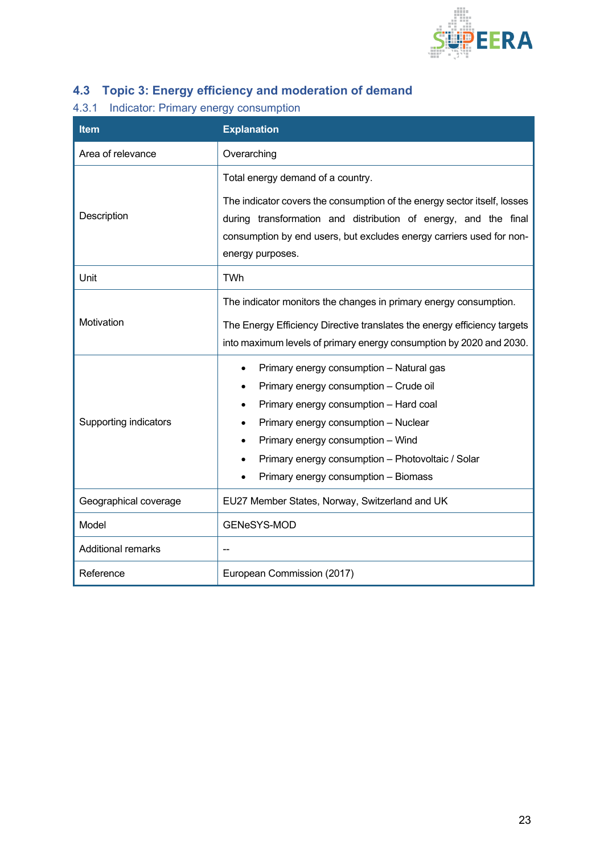

## <span id="page-22-0"></span>**4.3 Topic 3: Energy efficiency and moderation of demand**

### <span id="page-22-1"></span>4.3.1 Indicator: Primary energy consumption

| <b>Item</b>                  | <b>Explanation</b>                                                                                                                                                                                                                                                           |
|------------------------------|------------------------------------------------------------------------------------------------------------------------------------------------------------------------------------------------------------------------------------------------------------------------------|
| Area of relevance            | Overarching                                                                                                                                                                                                                                                                  |
| Description                  | Total energy demand of a country.<br>The indicator covers the consumption of the energy sector itself, losses<br>during transformation and distribution of energy, and the final<br>consumption by end users, but excludes energy carriers used for non-<br>energy purposes. |
| Unit                         | TWh                                                                                                                                                                                                                                                                          |
| Motivation                   | The indicator monitors the changes in primary energy consumption.<br>The Energy Efficiency Directive translates the energy efficiency targets<br>into maximum levels of primary energy consumption by 2020 and 2030.<br>Primary energy consumption - Natural gas             |
| <b>Supporting indicators</b> | Primary energy consumption - Crude oil<br>Primary energy consumption - Hard coal<br>Primary energy consumption - Nuclear<br>Primary energy consumption - Wind<br>Primary energy consumption - Photovoltaic / Solar<br>Primary energy consumption - Biomass                   |
| Geographical coverage        | EU27 Member States, Norway, Switzerland and UK                                                                                                                                                                                                                               |
| Model                        | GENeSYS-MOD                                                                                                                                                                                                                                                                  |
| <b>Additional remarks</b>    |                                                                                                                                                                                                                                                                              |
| Reference                    | European Commission (2017)                                                                                                                                                                                                                                                   |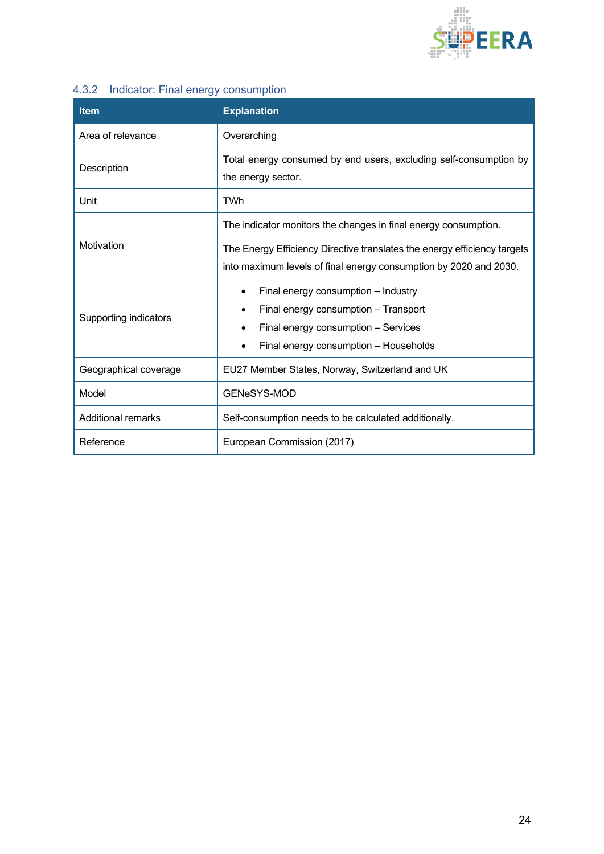

### <span id="page-23-0"></span>4.3.2 Indicator: Final energy consumption

| <b>Item</b>               | <b>Explanation</b>                                                                                                                                                                                               |  |  |  |
|---------------------------|------------------------------------------------------------------------------------------------------------------------------------------------------------------------------------------------------------------|--|--|--|
| Area of relevance         | Overarching                                                                                                                                                                                                      |  |  |  |
| Description               | Total energy consumed by end users, excluding self-consumption by<br>the energy sector.                                                                                                                          |  |  |  |
| Unit                      | <b>TWh</b>                                                                                                                                                                                                       |  |  |  |
| Motivation                | The indicator monitors the changes in final energy consumption.<br>The Energy Efficiency Directive translates the energy efficiency targets<br>into maximum levels of final energy consumption by 2020 and 2030. |  |  |  |
| Supporting indicators     | Final energy consumption - Industry<br>Final energy consumption - Transport<br>Final energy consumption - Services<br>Final energy consumption - Households                                                      |  |  |  |
| Geographical coverage     | EU27 Member States, Norway, Switzerland and UK                                                                                                                                                                   |  |  |  |
| Model                     | <b>GENeSYS-MOD</b>                                                                                                                                                                                               |  |  |  |
| <b>Additional remarks</b> | Self-consumption needs to be calculated additionally.                                                                                                                                                            |  |  |  |
| Reference                 | European Commission (2017)                                                                                                                                                                                       |  |  |  |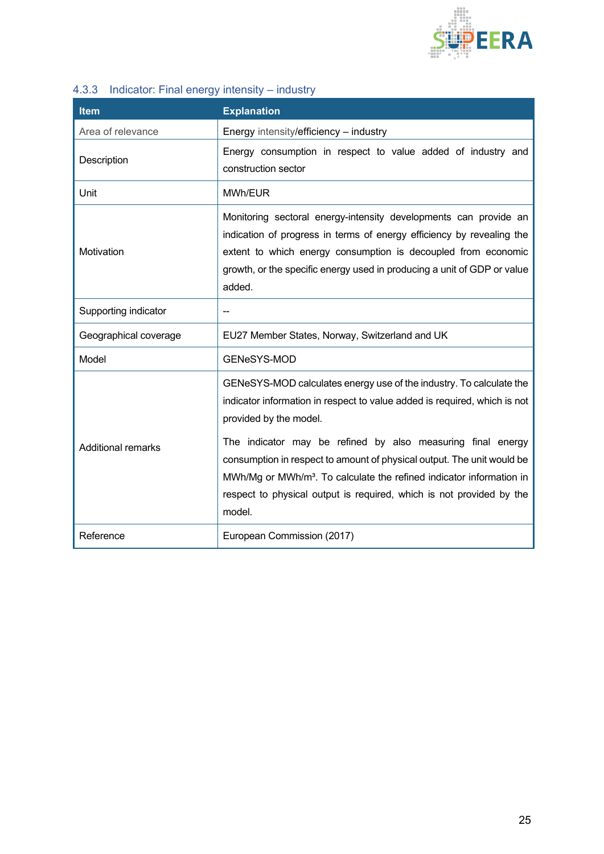

## <span id="page-24-0"></span>4.3.3 Indicator: Final energy intensity – industry

| <b>Item</b>               | <b>Explanation</b>                                                                                                                                                                                                                                                                                                                                                                                                                                                              |  |  |
|---------------------------|---------------------------------------------------------------------------------------------------------------------------------------------------------------------------------------------------------------------------------------------------------------------------------------------------------------------------------------------------------------------------------------------------------------------------------------------------------------------------------|--|--|
| Area of relevance         | Energy intensity/efficiency - industry                                                                                                                                                                                                                                                                                                                                                                                                                                          |  |  |
| Description               | Energy consumption in respect to value added of industry and<br>construction sector                                                                                                                                                                                                                                                                                                                                                                                             |  |  |
| Unit                      | MWh/EUR                                                                                                                                                                                                                                                                                                                                                                                                                                                                         |  |  |
| Motivation                | Monitoring sectoral energy-intensity developments can provide an<br>indication of progress in terms of energy efficiency by revealing the<br>extent to which energy consumption is decoupled from economic<br>growth, or the specific energy used in producing a unit of GDP or value<br>added.                                                                                                                                                                                 |  |  |
| Supporting indicator      |                                                                                                                                                                                                                                                                                                                                                                                                                                                                                 |  |  |
| Geographical coverage     | EU27 Member States, Norway, Switzerland and UK                                                                                                                                                                                                                                                                                                                                                                                                                                  |  |  |
| Model                     | <b>GENeSYS-MOD</b>                                                                                                                                                                                                                                                                                                                                                                                                                                                              |  |  |
| <b>Additional remarks</b> | GENeSYS-MOD calculates energy use of the industry. To calculate the<br>indicator information in respect to value added is required, which is not<br>provided by the model.<br>The indicator may be refined by also measuring final energy<br>consumption in respect to amount of physical output. The unit would be<br>MWh/Mg or MWh/m <sup>3</sup> . To calculate the refined indicator information in<br>respect to physical output is required, which is not provided by the |  |  |
|                           | model.                                                                                                                                                                                                                                                                                                                                                                                                                                                                          |  |  |
| Reference                 | European Commission (2017)                                                                                                                                                                                                                                                                                                                                                                                                                                                      |  |  |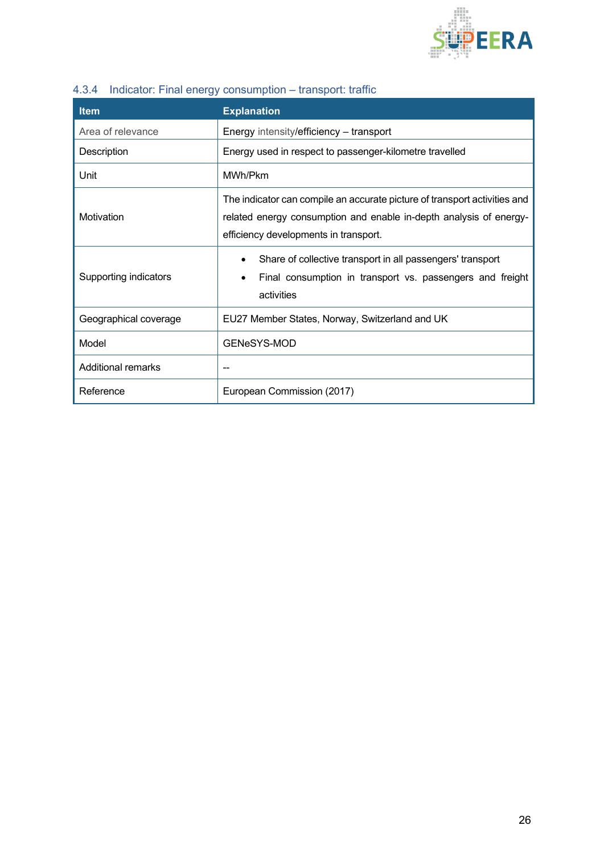

| <b>Item</b>           | <b>Explanation</b>                                                                                                                                                                       |
|-----------------------|------------------------------------------------------------------------------------------------------------------------------------------------------------------------------------------|
| Area of relevance     | Energy intensity/efficiency – transport                                                                                                                                                  |
| Description           | Energy used in respect to passenger-kilometre travelled                                                                                                                                  |
| Unit                  | MWh/Pkm                                                                                                                                                                                  |
| Motivation            | The indicator can compile an accurate picture of transport activities and<br>related energy consumption and enable in-depth analysis of energy-<br>efficiency developments in transport. |
| Supporting indicators | Share of collective transport in all passengers' transport<br>Final consumption in transport vs. passengers and freight<br>activities                                                    |
| Geographical coverage | EU27 Member States, Norway, Switzerland and UK                                                                                                                                           |
| Model                 | GENeSYS-MOD                                                                                                                                                                              |
| Additional remarks    |                                                                                                                                                                                          |
| Reference             | European Commission (2017)                                                                                                                                                               |

## <span id="page-25-0"></span>4.3.4 Indicator: Final energy consumption – transport: traffic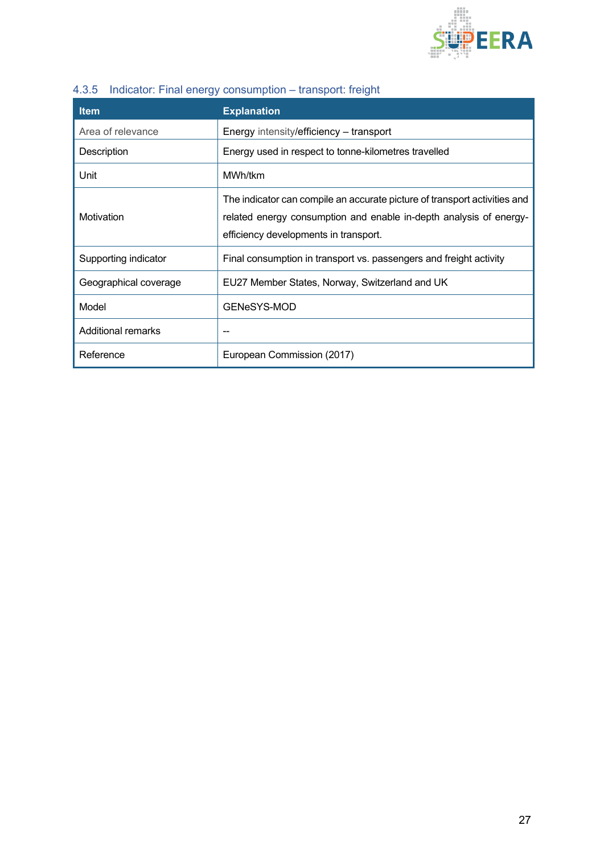

| <b>Item</b>               | <b>Explanation</b>                                                                                                                                                                       |
|---------------------------|------------------------------------------------------------------------------------------------------------------------------------------------------------------------------------------|
| Area of relevance         | Energy intensity/efficiency – transport                                                                                                                                                  |
| Description               | Energy used in respect to tonne-kilometres travelled                                                                                                                                     |
| Unit                      | MWh/tkm                                                                                                                                                                                  |
| Motivation                | The indicator can compile an accurate picture of transport activities and<br>related energy consumption and enable in-depth analysis of energy-<br>efficiency developments in transport. |
| Supporting indicator      | Final consumption in transport vs. passengers and freight activity                                                                                                                       |
| Geographical coverage     | EU27 Member States, Norway, Switzerland and UK                                                                                                                                           |
| Model                     | GENeSYS-MOD                                                                                                                                                                              |
| <b>Additional remarks</b> |                                                                                                                                                                                          |
| Reference                 | European Commission (2017)                                                                                                                                                               |

## <span id="page-26-0"></span>4.3.5 Indicator: Final energy consumption – transport: freight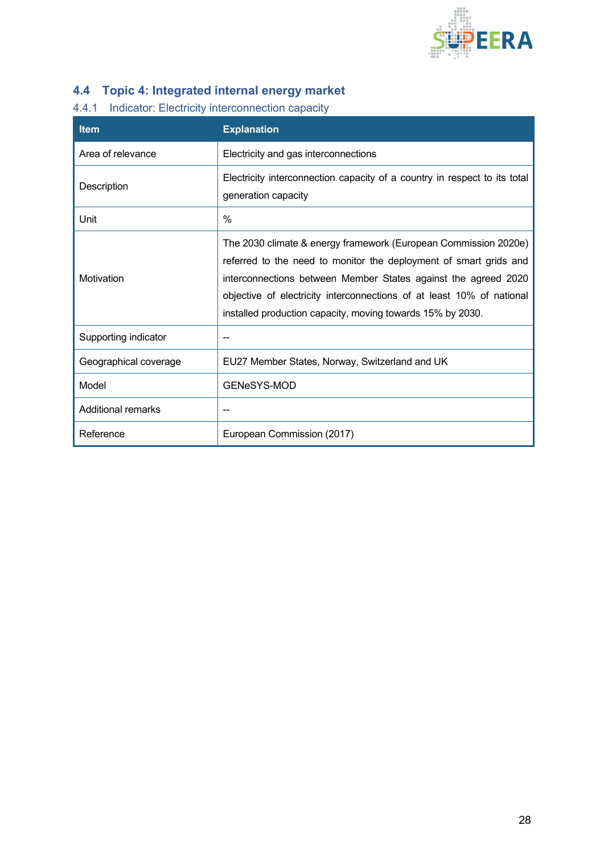

## <span id="page-27-0"></span>**4.4 Topic 4: Integrated internal energy market**

### <span id="page-27-1"></span>4.4.1 Indicator: Electricity interconnection capacity

| <b>Item</b>               | <b>Explanation</b>                                                                                                                                                                                                                                                                                                                            |
|---------------------------|-----------------------------------------------------------------------------------------------------------------------------------------------------------------------------------------------------------------------------------------------------------------------------------------------------------------------------------------------|
| Area of relevance         | Electricity and gas interconnections                                                                                                                                                                                                                                                                                                          |
| Description               | Electricity interconnection capacity of a country in respect to its total<br>generation capacity                                                                                                                                                                                                                                              |
| Unit                      | $\%$                                                                                                                                                                                                                                                                                                                                          |
| Motivation                | The 2030 climate & energy framework (European Commission 2020e)<br>referred to the need to monitor the deployment of smart grids and<br>interconnections between Member States against the agreed 2020<br>objective of electricity interconnections of at least 10% of national<br>installed production capacity, moving towards 15% by 2030. |
| Supporting indicator      | --                                                                                                                                                                                                                                                                                                                                            |
| Geographical coverage     | EU27 Member States, Norway, Switzerland and UK                                                                                                                                                                                                                                                                                                |
| Model                     | GENeSYS-MOD                                                                                                                                                                                                                                                                                                                                   |
| <b>Additional remarks</b> |                                                                                                                                                                                                                                                                                                                                               |
| Reference                 | European Commission (2017)                                                                                                                                                                                                                                                                                                                    |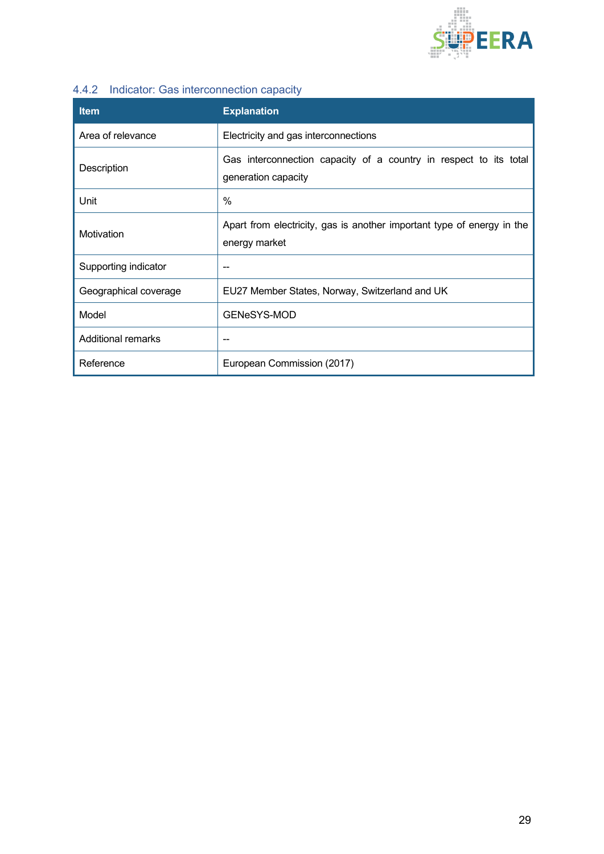

#### <span id="page-28-0"></span>4.4.2 Indicator: Gas interconnection capacity

| <b>Item</b>           | <b>Explanation</b>                                                                       |
|-----------------------|------------------------------------------------------------------------------------------|
| Area of relevance     | Electricity and gas interconnections                                                     |
| Description           | Gas interconnection capacity of a country in respect to its total<br>generation capacity |
| Unit                  | $\%$                                                                                     |
| Motivation            | Apart from electricity, gas is another important type of energy in the<br>energy market  |
| Supporting indicator  | --                                                                                       |
| Geographical coverage | EU27 Member States, Norway, Switzerland and UK                                           |
| Model                 | GENeSYS-MOD                                                                              |
| Additional remarks    | --                                                                                       |
| Reference             | European Commission (2017)                                                               |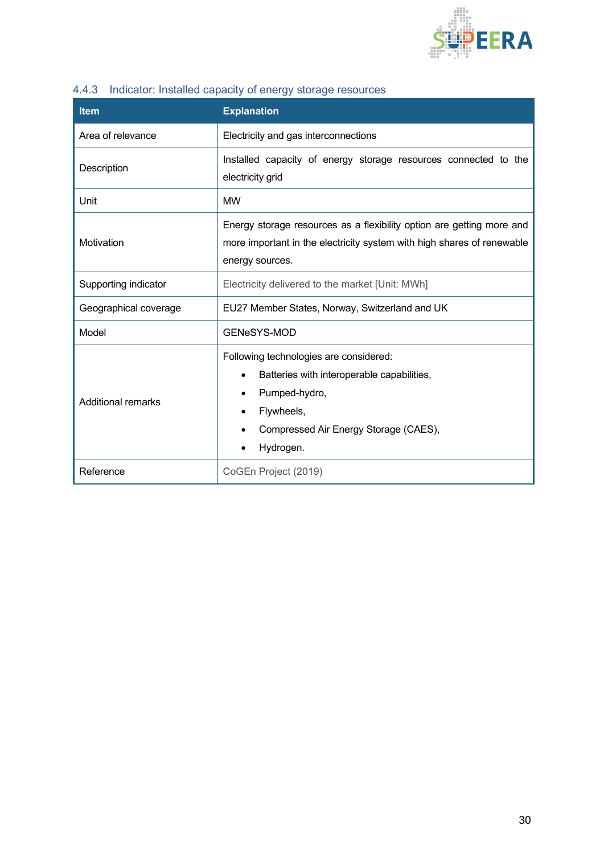

<span id="page-29-0"></span>

|  | 4.4.3 Indicator: Installed capacity of energy storage resources |  |  |  |  |  |  |
|--|-----------------------------------------------------------------|--|--|--|--|--|--|
|--|-----------------------------------------------------------------|--|--|--|--|--|--|

| <b>Item</b>               | <b>Explanation</b>                                                                                                                                                        |  |  |  |
|---------------------------|---------------------------------------------------------------------------------------------------------------------------------------------------------------------------|--|--|--|
| Area of relevance         | Electricity and gas interconnections                                                                                                                                      |  |  |  |
| Description               | Installed capacity of energy storage resources connected to the<br>electricity grid                                                                                       |  |  |  |
| Unit                      | <b>MW</b>                                                                                                                                                                 |  |  |  |
| Motivation                | Energy storage resources as a flexibility option are getting more and<br>more important in the electricity system with high shares of renewable<br>energy sources.        |  |  |  |
| Supporting indicator      | Electricity delivered to the market [Unit: MWh]                                                                                                                           |  |  |  |
| Geographical coverage     | EU27 Member States, Norway, Switzerland and UK                                                                                                                            |  |  |  |
| Model                     | GENeSYS-MOD                                                                                                                                                               |  |  |  |
| <b>Additional remarks</b> | Following technologies are considered:<br>Batteries with interoperable capabilities,<br>Pumped-hydro,<br>Flywheels,<br>Compressed Air Energy Storage (CAES),<br>Hydrogen. |  |  |  |
| Reference                 | CoGEn Project (2019)                                                                                                                                                      |  |  |  |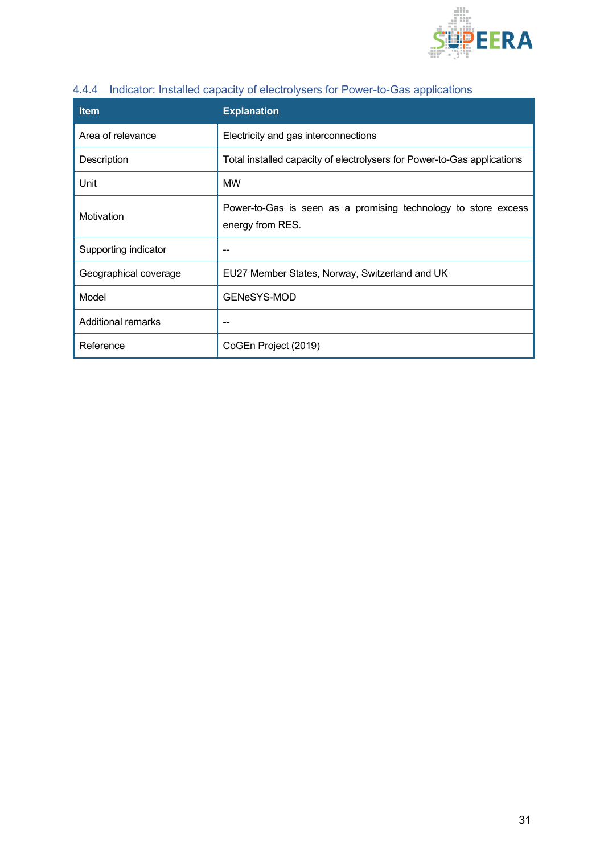

| <b>Item</b>               | <b>Explanation</b>                                                                 |
|---------------------------|------------------------------------------------------------------------------------|
| Area of relevance         | Electricity and gas interconnections                                               |
| Description               | Total installed capacity of electrolysers for Power-to-Gas applications            |
| Unit                      | <b>MW</b>                                                                          |
| Motivation                | Power-to-Gas is seen as a promising technology to store excess<br>energy from RES. |
| Supporting indicator      |                                                                                    |
| Geographical coverage     | EU27 Member States, Norway, Switzerland and UK                                     |
| Model                     | <b>GENeSYS-MOD</b>                                                                 |
| <b>Additional remarks</b> | --                                                                                 |
| Reference                 | CoGEn Project (2019)                                                               |

#### <span id="page-30-0"></span>4.4.4 Indicator: Installed capacity of electrolysers for Power-to-Gas applications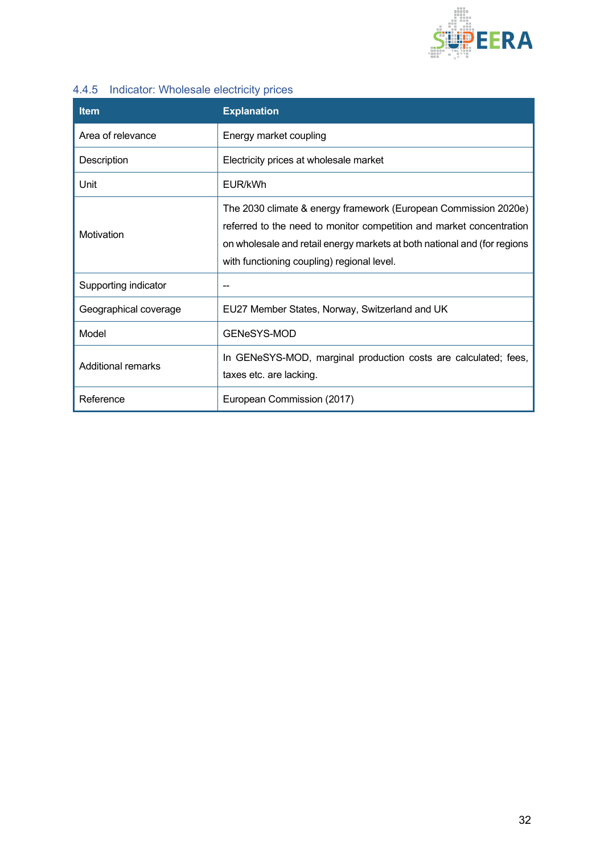

### <span id="page-31-0"></span>4.4.5 Indicator: Wholesale electricity prices

| <b>Item</b>               | <b>Explanation</b>                                                                                                                                                                                                                                                |
|---------------------------|-------------------------------------------------------------------------------------------------------------------------------------------------------------------------------------------------------------------------------------------------------------------|
| Area of relevance         | Energy market coupling                                                                                                                                                                                                                                            |
| Description               | Electricity prices at wholesale market                                                                                                                                                                                                                            |
| Unit                      | EUR/kWh                                                                                                                                                                                                                                                           |
| Motivation                | The 2030 climate & energy framework (European Commission 2020e)<br>referred to the need to monitor competition and market concentration<br>on wholesale and retail energy markets at both national and (for regions<br>with functioning coupling) regional level. |
| Supporting indicator      |                                                                                                                                                                                                                                                                   |
| Geographical coverage     | EU27 Member States, Norway, Switzerland and UK                                                                                                                                                                                                                    |
| Model                     | GENeSYS-MOD                                                                                                                                                                                                                                                       |
| <b>Additional remarks</b> | In GENeSYS-MOD, marginal production costs are calculated; fees,<br>taxes etc. are lacking.                                                                                                                                                                        |
| Reference                 | European Commission (2017)                                                                                                                                                                                                                                        |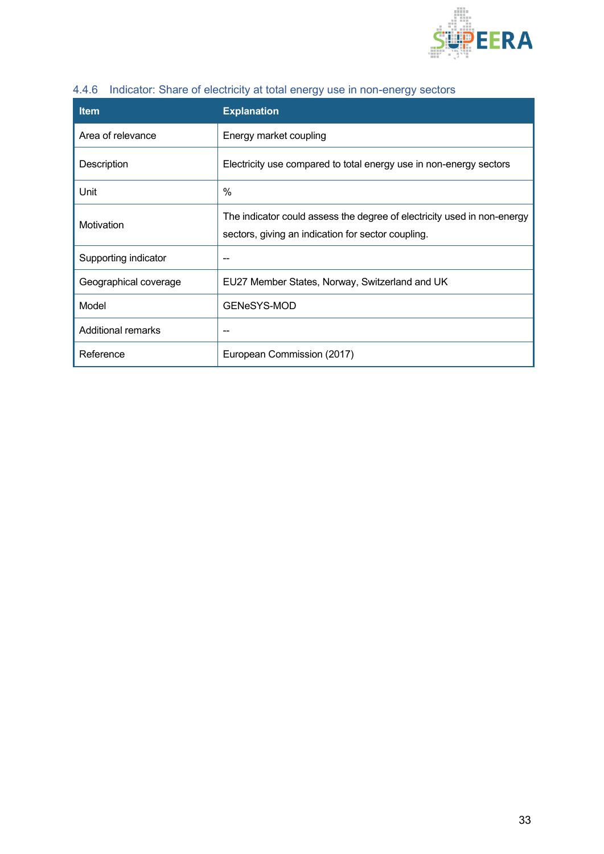

<span id="page-32-0"></span>

|  |  | 4.4.6 Indicator: Share of electricity at total energy use in non-energy sectors |
|--|--|---------------------------------------------------------------------------------|
|  |  |                                                                                 |

| <b>Item</b>           | <b>Explanation</b>                                                                                                            |
|-----------------------|-------------------------------------------------------------------------------------------------------------------------------|
| Area of relevance     | Energy market coupling                                                                                                        |
| Description           | Electricity use compared to total energy use in non-energy sectors                                                            |
| Unit                  | $\%$                                                                                                                          |
| Motivation            | The indicator could assess the degree of electricity used in non-energy<br>sectors, giving an indication for sector coupling. |
| Supporting indicator  | --                                                                                                                            |
| Geographical coverage | EU27 Member States, Norway, Switzerland and UK                                                                                |
| Model                 | GENeSYS-MOD                                                                                                                   |
| Additional remarks    |                                                                                                                               |
| Reference             | European Commission (2017)                                                                                                    |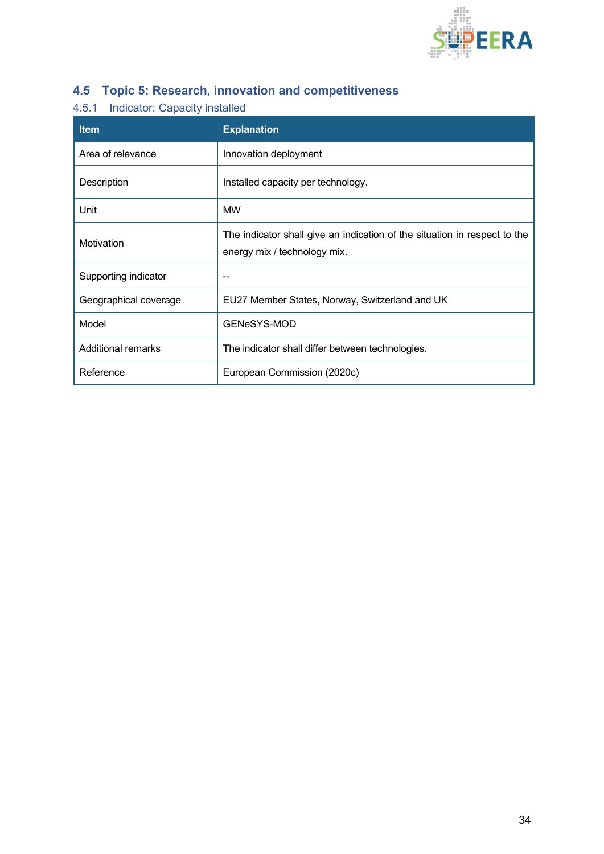

## <span id="page-33-0"></span>**4.5 Topic 5: Research, innovation and competitiveness**

### <span id="page-33-1"></span>4.5.1 Indicator: Capacity installed

| <b>Item</b>           | <b>Explanation</b>                                                                                        |
|-----------------------|-----------------------------------------------------------------------------------------------------------|
| Area of relevance     | Innovation deployment                                                                                     |
| Description           | Installed capacity per technology.                                                                        |
| Unit                  | <b>MW</b>                                                                                                 |
| Motivation            | The indicator shall give an indication of the situation in respect to the<br>energy mix / technology mix. |
| Supporting indicator  |                                                                                                           |
| Geographical coverage | EU27 Member States, Norway, Switzerland and UK                                                            |
| Model                 | <b>GENeSYS-MOD</b>                                                                                        |
| Additional remarks    | The indicator shall differ between technologies.                                                          |
| Reference             | European Commission (2020c)                                                                               |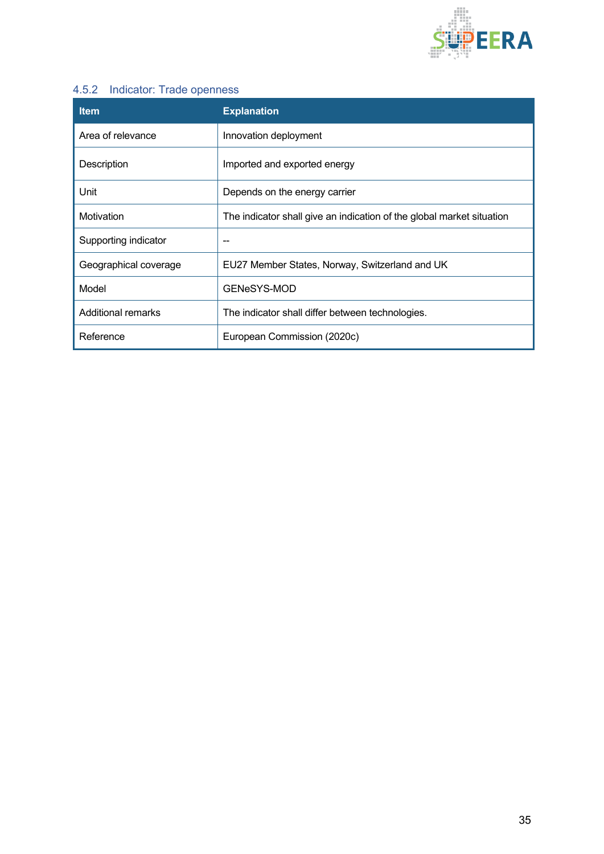

#### <span id="page-34-0"></span>4.5.2 Indicator: Trade openness

| <b>Item</b>               | <b>Explanation</b>                                                    |
|---------------------------|-----------------------------------------------------------------------|
| Area of relevance         | Innovation deployment                                                 |
| Description               | Imported and exported energy                                          |
| Unit                      | Depends on the energy carrier                                         |
| Motivation                | The indicator shall give an indication of the global market situation |
| Supporting indicator      | --                                                                    |
| Geographical coverage     | EU27 Member States, Norway, Switzerland and UK                        |
| Model                     | GENeSYS-MOD                                                           |
| <b>Additional remarks</b> | The indicator shall differ between technologies.                      |
| Reference                 | European Commission (2020c)                                           |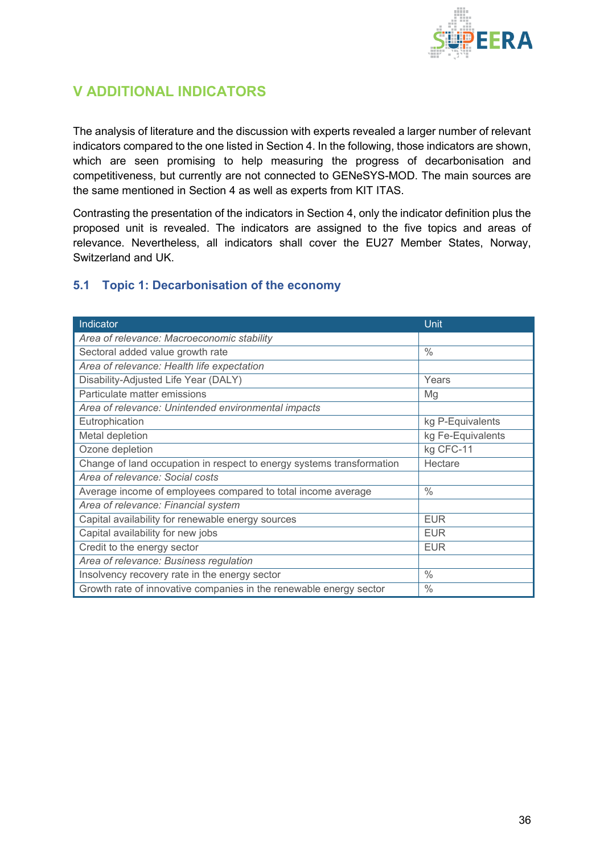

## <span id="page-35-0"></span>**V ADDITIONAL INDICATORS**

The analysis of literature and the discussion with experts revealed a larger number of relevant indicators compared to the one listed in Section 4. In the following, those indicators are shown, which are seen promising to help measuring the progress of decarbonisation and competitiveness, but currently are not connected to GENeSYS-MOD. The main sources are the same mentioned in Section 4 as well as experts from KIT ITAS.

Contrasting the presentation of the indicators in Section 4, only the indicator definition plus the proposed unit is revealed. The indicators are assigned to the five topics and areas of relevance. Nevertheless, all indicators shall cover the EU27 Member States, Norway, Switzerland and UK.

#### <span id="page-35-1"></span>**5.1 Topic 1: Decarbonisation of the economy**

| Indicator                                                             | Unit              |
|-----------------------------------------------------------------------|-------------------|
| Area of relevance: Macroeconomic stability                            |                   |
| Sectoral added value growth rate                                      | $\frac{0}{0}$     |
| Area of relevance: Health life expectation                            |                   |
| Disability-Adjusted Life Year (DALY)                                  | Years             |
| Particulate matter emissions                                          | Mg                |
| Area of relevance: Unintended environmental impacts                   |                   |
| Eutrophication                                                        | kg P-Equivalents  |
| Metal depletion                                                       | kg Fe-Equivalents |
| Ozone depletion                                                       | kg CFC-11         |
| Change of land occupation in respect to energy systems transformation | Hectare           |
| Area of relevance: Social costs                                       |                   |
| Average income of employees compared to total income average          | $\frac{0}{0}$     |
| Area of relevance: Financial system                                   |                   |
| Capital availability for renewable energy sources                     | <b>EUR</b>        |
| Capital availability for new jobs                                     | <b>EUR</b>        |
| Credit to the energy sector                                           | <b>EUR</b>        |
| Area of relevance: Business regulation                                |                   |
| Insolvency recovery rate in the energy sector                         | $\frac{0}{0}$     |
| Growth rate of innovative companies in the renewable energy sector    | $\frac{0}{0}$     |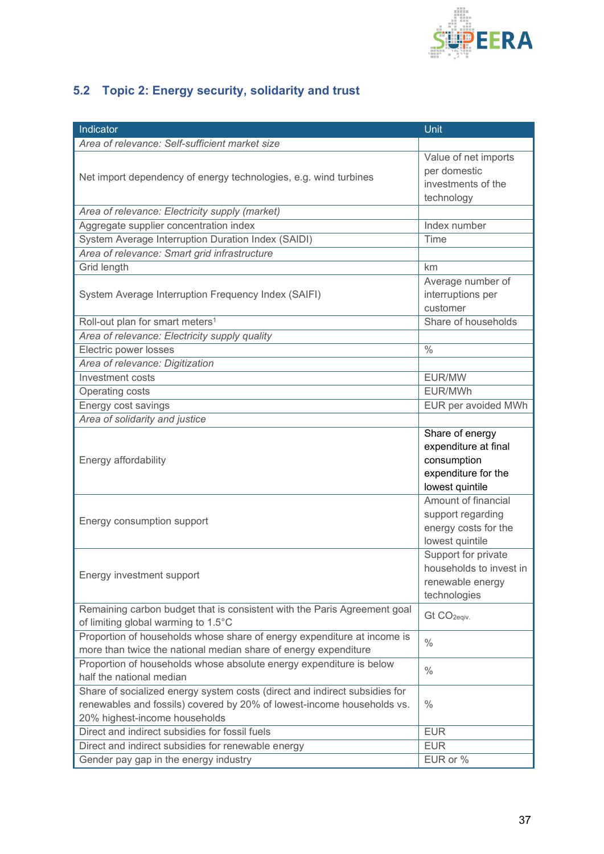

# <span id="page-36-0"></span>**5.2 Topic 2: Energy security, solidarity and trust**

| Indicator                                                                                                                                                                             | Unit                                                                                             |
|---------------------------------------------------------------------------------------------------------------------------------------------------------------------------------------|--------------------------------------------------------------------------------------------------|
| Area of relevance: Self-sufficient market size                                                                                                                                        |                                                                                                  |
| Net import dependency of energy technologies, e.g. wind turbines                                                                                                                      | Value of net imports<br>per domestic<br>investments of the<br>technology                         |
| Area of relevance: Electricity supply (market)                                                                                                                                        |                                                                                                  |
| Aggregate supplier concentration index                                                                                                                                                | Index number                                                                                     |
| System Average Interruption Duration Index (SAIDI)                                                                                                                                    | Time                                                                                             |
| Area of relevance: Smart grid infrastructure                                                                                                                                          |                                                                                                  |
| Grid length                                                                                                                                                                           | km                                                                                               |
| System Average Interruption Frequency Index (SAIFI)                                                                                                                                   | Average number of<br>interruptions per<br>customer                                               |
| Roll-out plan for smart meters <sup>1</sup>                                                                                                                                           | Share of households                                                                              |
| Area of relevance: Electricity supply quality                                                                                                                                         |                                                                                                  |
| Electric power losses                                                                                                                                                                 | $\frac{0}{0}$                                                                                    |
| Area of relevance: Digitization                                                                                                                                                       |                                                                                                  |
| Investment costs                                                                                                                                                                      | EUR/MW                                                                                           |
| Operating costs                                                                                                                                                                       | EUR/MWh                                                                                          |
| Energy cost savings                                                                                                                                                                   | EUR per avoided MWh                                                                              |
| Area of solidarity and justice                                                                                                                                                        |                                                                                                  |
| Energy affordability                                                                                                                                                                  | Share of energy<br>expenditure at final<br>consumption<br>expenditure for the<br>lowest quintile |
| Energy consumption support                                                                                                                                                            | Amount of financial<br>support regarding<br>energy costs for the<br>lowest quintile              |
| Energy investment support                                                                                                                                                             | Support for private<br>households to invest in<br>renewable energy<br>technologies               |
| Remaining carbon budget that is consistent with the Paris Agreement goal<br>of limiting global warming to 1.5°C                                                                       | Gt CO <sub>2eqiv.</sub>                                                                          |
| Proportion of households whose share of energy expenditure at income is<br>more than twice the national median share of energy expenditure                                            | $\frac{0}{0}$                                                                                    |
| Proportion of households whose absolute energy expenditure is below<br>half the national median                                                                                       | $\frac{0}{0}$                                                                                    |
| Share of socialized energy system costs (direct and indirect subsidies for<br>renewables and fossils) covered by 20% of lowest-income households vs.<br>20% highest-income households | $\frac{0}{0}$                                                                                    |
| Direct and indirect subsidies for fossil fuels                                                                                                                                        | <b>EUR</b>                                                                                       |
| Direct and indirect subsidies for renewable energy                                                                                                                                    | <b>EUR</b>                                                                                       |
| Gender pay gap in the energy industry                                                                                                                                                 | EUR or %                                                                                         |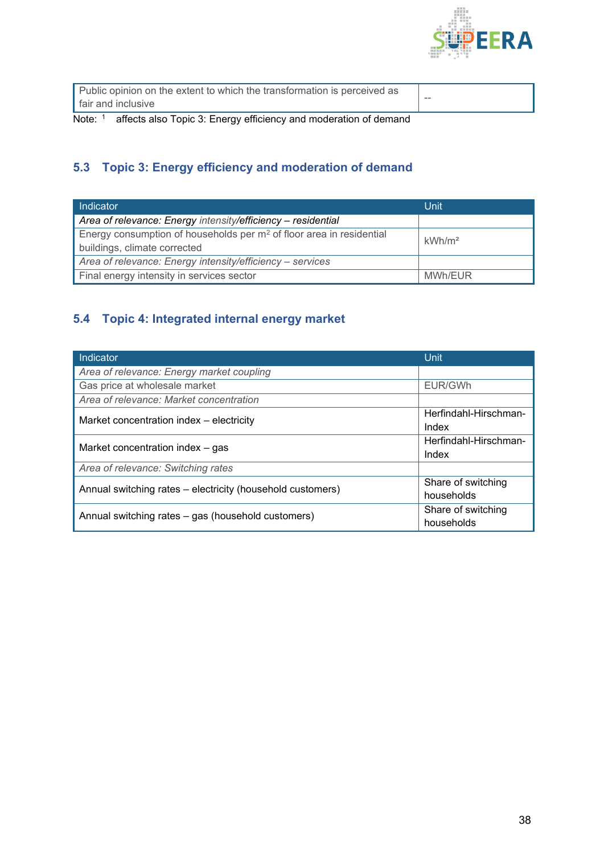

| Public opinion on the extent to which the transformation is perceived as |       |
|--------------------------------------------------------------------------|-------|
| l fair and inclusive                                                     | $- -$ |
| .<br>. . <i>.</i> . <del>.</del>                                         |       |

Note: <sup>1</sup> affects also Topic 3: Energy efficiency and moderation of demand

### <span id="page-37-0"></span>**5.3 Topic 3: Energy efficiency and moderation of demand**

| Indicator                                                                                              | Unit               |
|--------------------------------------------------------------------------------------------------------|--------------------|
| Area of relevance: Energy intensity/efficiency - residential                                           |                    |
| Energy consumption of households per $m2$ of floor area in residential<br>buildings, climate corrected | kWh/m <sup>2</sup> |
| Area of relevance: Energy intensity/efficiency - services                                              |                    |
| Final energy intensity in services sector                                                              | MWh/EUR            |

#### <span id="page-37-1"></span>**5.4 Topic 4: Integrated internal energy market**

| Indicator                                                  | <b>Unit</b>           |
|------------------------------------------------------------|-----------------------|
| Area of relevance: Energy market coupling                  |                       |
| Gas price at wholesale market                              | EUR/GWh               |
| Area of relevance: Market concentration                    |                       |
| Market concentration index - electricity                   | Herfindahl-Hirschman- |
|                                                            | Index                 |
| Market concentration index - gas                           | Herfindahl-Hirschman- |
|                                                            | Index                 |
| Area of relevance: Switching rates                         |                       |
| Annual switching rates – electricity (household customers) | Share of switching    |
|                                                            | households            |
| Annual switching rates – gas (household customers)         | Share of switching    |
|                                                            | households            |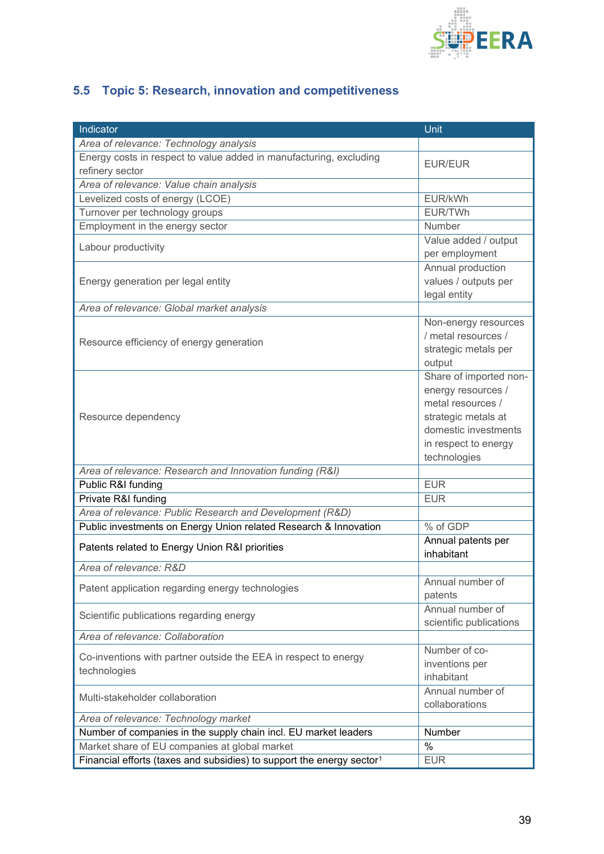

# <span id="page-38-0"></span>**5.5 Topic 5: Research, innovation and competitiveness**

| Indicator                                                                         | Unit                                                                                                                                                     |
|-----------------------------------------------------------------------------------|----------------------------------------------------------------------------------------------------------------------------------------------------------|
| Area of relevance: Technology analysis                                            |                                                                                                                                                          |
| Energy costs in respect to value added in manufacturing, excluding                | <b>EUR/EUR</b>                                                                                                                                           |
| refinery sector                                                                   |                                                                                                                                                          |
| Area of relevance: Value chain analysis                                           |                                                                                                                                                          |
| Levelized costs of energy (LCOE)                                                  | EUR/kWh                                                                                                                                                  |
| Turnover per technology groups                                                    | EUR/TWh                                                                                                                                                  |
| Employment in the energy sector                                                   | Number                                                                                                                                                   |
| Labour productivity                                                               | Value added / output<br>per employment                                                                                                                   |
| Energy generation per legal entity                                                | Annual production<br>values / outputs per<br>legal entity                                                                                                |
| Area of relevance: Global market analysis                                         |                                                                                                                                                          |
| Resource efficiency of energy generation                                          | Non-energy resources<br>/ metal resources /<br>strategic metals per<br>output                                                                            |
| Resource dependency                                                               | Share of imported non-<br>energy resources /<br>metal resources /<br>strategic metals at<br>domestic investments<br>in respect to energy<br>technologies |
| Area of relevance: Research and Innovation funding (R&I)                          |                                                                                                                                                          |
| Public R&I funding                                                                | <b>EUR</b>                                                                                                                                               |
| Private R&I funding                                                               | <b>EUR</b>                                                                                                                                               |
| Area of relevance: Public Research and Development (R&D)                          |                                                                                                                                                          |
| Public investments on Energy Union related Research & Innovation                  | % of GDP                                                                                                                                                 |
| Patents related to Energy Union R&I priorities                                    | Annual patents per<br>inhabitant                                                                                                                         |
| Area of relevance: R&D                                                            |                                                                                                                                                          |
| Patent application regarding energy technologies                                  | Annual number of<br>patents                                                                                                                              |
| Scientific publications regarding energy                                          | Annual number of<br>scientific publications                                                                                                              |
| Area of relevance: Collaboration                                                  |                                                                                                                                                          |
| Co-inventions with partner outside the EEA in respect to energy<br>technologies   | Number of co-<br>inventions per<br>inhabitant                                                                                                            |
| Multi-stakeholder collaboration                                                   | Annual number of<br>collaborations                                                                                                                       |
| Area of relevance: Technology market                                              |                                                                                                                                                          |
| Number of companies in the supply chain incl. EU market leaders                   | Number                                                                                                                                                   |
| Market share of EU companies at global market                                     | $\%$                                                                                                                                                     |
| Financial efforts (taxes and subsidies) to support the energy sector <sup>1</sup> | <b>EUR</b>                                                                                                                                               |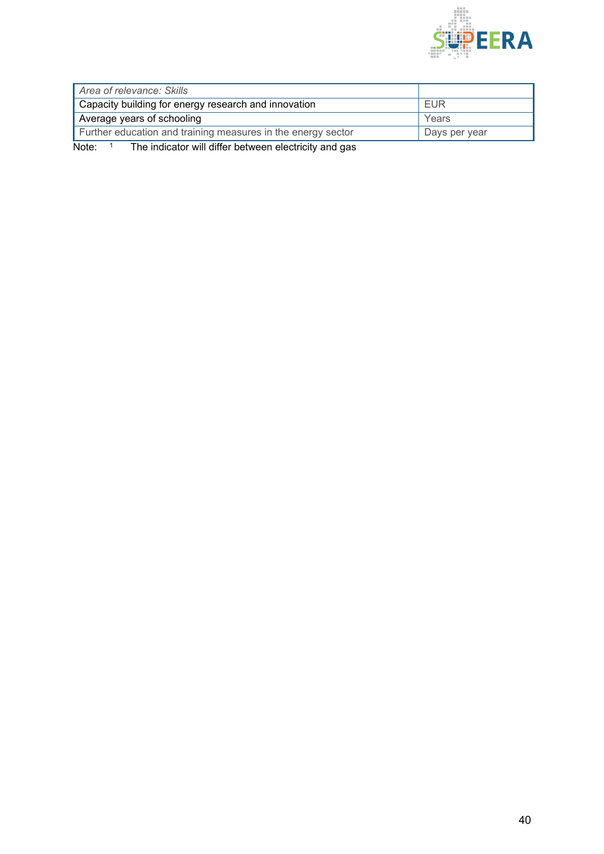

| Area of relevance: Skills                                    |               |
|--------------------------------------------------------------|---------------|
| Capacity building for energy research and innovation         | EUR           |
| Average years of schooling                                   | Years         |
| Further education and training measures in the energy sector | Days per year |

Note: <sup>1</sup> The indicator will differ between electricity and gas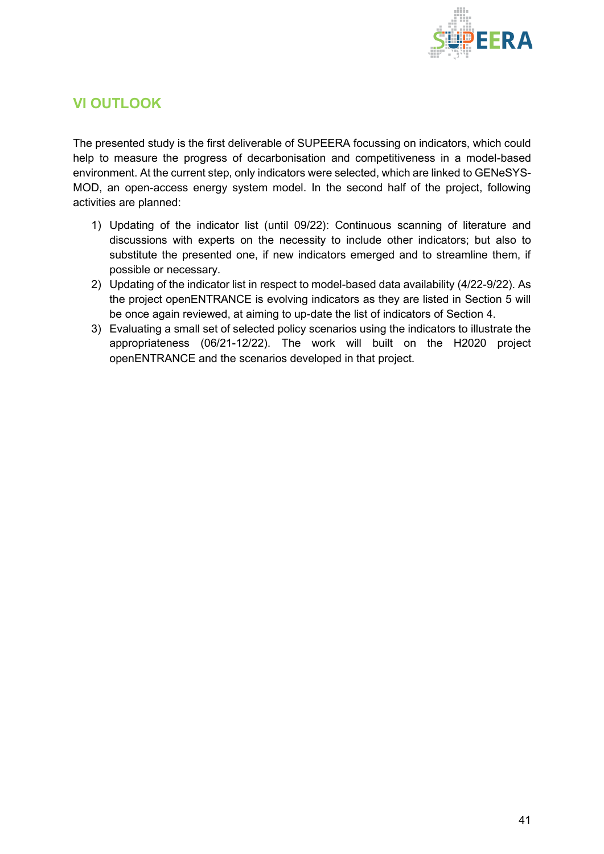

## <span id="page-40-0"></span>**VI OUTLOOK**

The presented study is the first deliverable of SUPEERA focussing on indicators, which could help to measure the progress of decarbonisation and competitiveness in a model-based environment. At the current step, only indicators were selected, which are linked to GENeSYS-MOD, an open-access energy system model. In the second half of the project, following activities are planned:

- 1) Updating of the indicator list (until 09/22): Continuous scanning of literature and discussions with experts on the necessity to include other indicators; but also to substitute the presented one, if new indicators emerged and to streamline them, if possible or necessary.
- 2) Updating of the indicator list in respect to model-based data availability (4/22-9/22). As the project openENTRANCE is evolving indicators as they are listed in Section 5 will be once again reviewed, at aiming to up-date the list of indicators of Section 4.
- 3) Evaluating a small set of selected policy scenarios using the indicators to illustrate the appropriateness (06/21-12/22). The work will built on the H2020 project openENTRANCE and the scenarios developed in that project.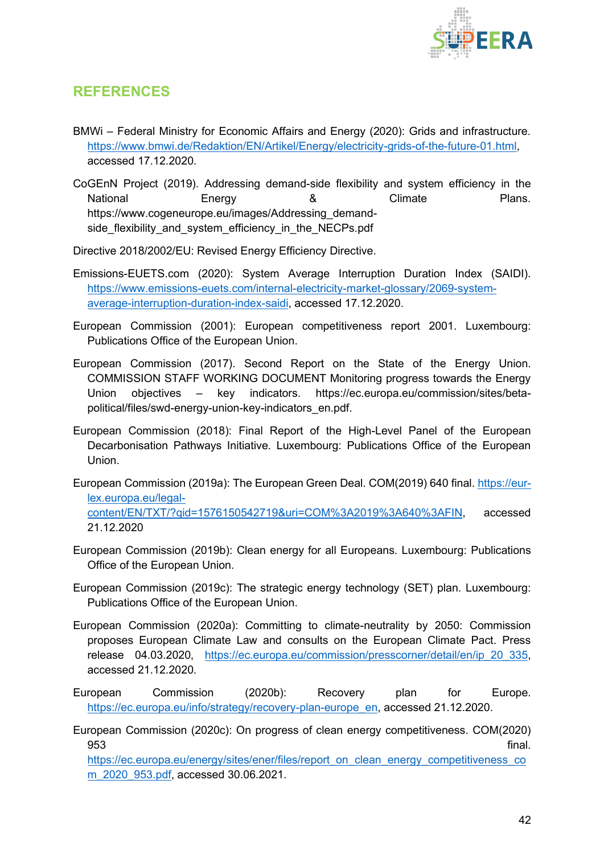

### <span id="page-41-0"></span>**REFERENCES**

21.12.2020

- BMWi Federal Ministry for Economic Affairs and Energy (2020): Grids and infrastructure. [https://www.bmwi.de/Redaktion/EN/Artikel/Energy/electricity-grids-of-the-future-01.html,](https://www.bmwi.de/Redaktion/EN/Artikel/Energy/electricity-grids-of-the-future-01.html) accessed 17.12.2020.
- CoGEnN Project (2019). Addressing demand-side flexibility and system efficiency in the National Energy & Climate Plans. https://www.cogeneurope.eu/images/Addressing\_demandside\_flexibility\_and\_system\_efficiency\_in\_the\_NECPs.pdf
- Directive 2018/2002/EU: Revised Energy Efficiency Directive.
- Emissions-EUETS.com (2020): System Average Interruption Duration Index (SAIDI). [https://www.emissions-euets.com/internal-electricity-market-glossary/2069-system](https://www.emissions-euets.com/internal-electricity-market-glossary/2069-system-average-interruption-duration-index-saidi)[average-interruption-duration-index-saidi,](https://www.emissions-euets.com/internal-electricity-market-glossary/2069-system-average-interruption-duration-index-saidi) accessed 17.12.2020.
- European Commission (2001): European competitiveness report 2001. Luxembourg: Publications Office of the European Union.
- European Commission (2017). Second Report on the State of the Energy Union. COMMISSION STAFF WORKING DOCUMENT Monitoring progress towards the Energy Union objectives – key indicators. https://ec.europa.eu/commission/sites/betapolitical/files/swd-energy-union-key-indicators\_en.pdf.
- European Commission (2018): Final Report of the High-Level Panel of the European Decarbonisation Pathways Initiative. Luxembourg: Publications Office of the European Union.
- European Commission (2019a): The European Green Deal. COM(2019) 640 final. [https://eur](https://eur-lex.europa.eu/legal-content/EN/TXT/?qid=1576150542719&uri=COM%3A2019%3A640%3AFIN)[lex.europa.eu/legal](https://eur-lex.europa.eu/legal-content/EN/TXT/?qid=1576150542719&uri=COM%3A2019%3A640%3AFIN)[content/EN/TXT/?qid=1576150542719&uri=COM%3A2019%3A640%3AFIN,](https://eur-lex.europa.eu/legal-content/EN/TXT/?qid=1576150542719&uri=COM%3A2019%3A640%3AFIN) accessed
- European Commission (2019b): Clean energy for all Europeans. Luxembourg: Publications Office of the European Union.
- European Commission (2019c): The strategic energy technology (SET) plan. Luxembourg: Publications Office of the European Union.
- European Commission (2020a): Committing to climate-neutrality by 2050: Commission proposes European Climate Law and consults on the European Climate Pact. Press release 04.03.2020, [https://ec.europa.eu/commission/presscorner/detail/en/ip\\_20\\_335,](https://ec.europa.eu/commission/presscorner/detail/en/ip_20_335) accessed 21.12.2020.
- European Commission (2020b): Recovery plan for Europe. [https://ec.europa.eu/info/strategy/recovery-plan-europe\\_en,](https://ec.europa.eu/info/strategy/recovery-plan-europe_en) accessed 21.12.2020.
- European Commission (2020c): On progress of clean energy competitiveness. COM(2020) 953 final. [https://ec.europa.eu/energy/sites/ener/files/report\\_on\\_clean\\_energy\\_competitiveness\\_co](https://ec.europa.eu/energy/sites/ener/files/report_on_clean_energy_competitiveness_com_2020_953.pdf)

[m\\_2020\\_953.pdf,](https://ec.europa.eu/energy/sites/ener/files/report_on_clean_energy_competitiveness_com_2020_953.pdf) accessed 30.06.2021.